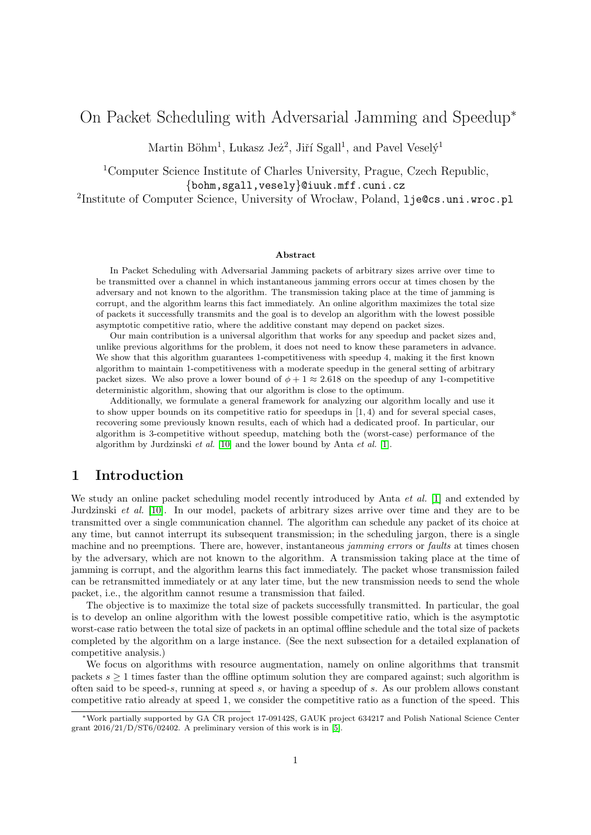# <span id="page-0-0"></span>On Packet Scheduling with Adversarial Jamming and Speedup<sup>∗</sup>

Martin Böhm<sup>1</sup>, Lukasz Jeż<sup>2</sup>, Jiří Sgall<sup>1</sup>, and Pavel Veselý<sup>1</sup>

<sup>1</sup>Computer Science Institute of Charles University, Prague, Czech Republic, {bohm,sgall,vesely}@iuuk.mff.cuni.cz  $^{2}$ Institute of Computer Science, University of Wrocław, Poland, 1je@cs.uni.wroc.pl

#### Abstract

In Packet Scheduling with Adversarial Jamming packets of arbitrary sizes arrive over time to be transmitted over a channel in which instantaneous jamming errors occur at times chosen by the adversary and not known to the algorithm. The transmission taking place at the time of jamming is corrupt, and the algorithm learns this fact immediately. An online algorithm maximizes the total size of packets it successfully transmits and the goal is to develop an algorithm with the lowest possible asymptotic competitive ratio, where the additive constant may depend on packet sizes.

Our main contribution is a universal algorithm that works for any speedup and packet sizes and, unlike previous algorithms for the problem, it does not need to know these parameters in advance. We show that this algorithm guarantees 1-competitiveness with speedup 4, making it the first known algorithm to maintain 1-competitiveness with a moderate speedup in the general setting of arbitrary packet sizes. We also prove a lower bound of  $\phi + 1 \approx 2.618$  on the speedup of any 1-competitive deterministic algorithm, showing that our algorithm is close to the optimum.

Additionally, we formulate a general framework for analyzing our algorithm locally and use it to show upper bounds on its competitive ratio for speedups in  $(1, 4)$  and for several special cases, recovering some previously known results, each of which had a dedicated proof. In particular, our algorithm is 3-competitive without speedup, matching both the (worst-case) performance of the algorithm by Jurdzinski et al. [\[10\]](#page-29-0) and the lower bound by Anta et al. [\[1\]](#page-28-0).

## 1 Introduction

We study an online packet scheduling model recently introduced by Anta *et al.* [\[1\]](#page-28-0) and extended by Jurdzinski et al. [\[10\]](#page-29-0). In our model, packets of arbitrary sizes arrive over time and they are to be transmitted over a single communication channel. The algorithm can schedule any packet of its choice at any time, but cannot interrupt its subsequent transmission; in the scheduling jargon, there is a single machine and no preemptions. There are, however, instantaneous jamming errors or faults at times chosen by the adversary, which are not known to the algorithm. A transmission taking place at the time of jamming is corrupt, and the algorithm learns this fact immediately. The packet whose transmission failed can be retransmitted immediately or at any later time, but the new transmission needs to send the whole packet, i.e., the algorithm cannot resume a transmission that failed.

The objective is to maximize the total size of packets successfully transmitted. In particular, the goal is to develop an online algorithm with the lowest possible competitive ratio, which is the asymptotic worst-case ratio between the total size of packets in an optimal offline schedule and the total size of packets completed by the algorithm on a large instance. (See the next subsection for a detailed explanation of competitive analysis.)

We focus on algorithms with resource augmentation, namely on online algorithms that transmit packets  $s \geq 1$  times faster than the offline optimum solution they are compared against; such algorithm is often said to be speed-s, running at speed s, or having a speedup of s. As our problem allows constant competitive ratio already at speed 1, we consider the competitive ratio as a function of the speed. This

<sup>∗</sup>Work partially supported by GA CR project 17-09142S, GAUK project 634217 and Polish National Science Center ˇ grant  $2016/21/D/ST6/02402$ . A preliminary version of this work is in [\[5\]](#page-29-1).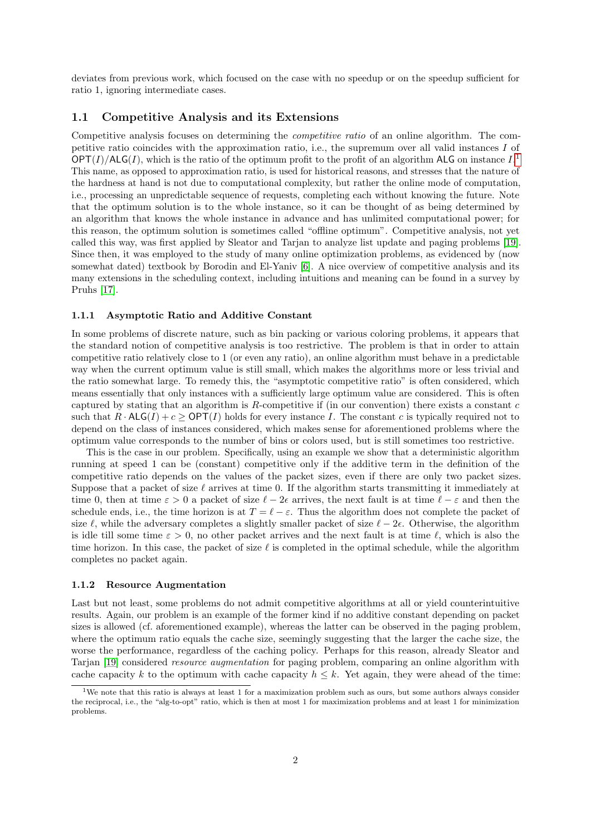deviates from previous work, which focused on the case with no speedup or on the speedup sufficient for ratio 1, ignoring intermediate cases.

### 1.1 Competitive Analysis and its Extensions

Competitive analysis focuses on determining the competitive ratio of an online algorithm. The competitive ratio coincides with the approximation ratio, i.e., the supremum over all valid instances I of  $\mathsf{OPT}(I)/\mathsf{ALG}(I)$ , which is the ratio of the optimum profit to the profit of an algorithm ALG on instance  $I$ .<sup>[1](#page-1-0)</sup> This name, as opposed to approximation ratio, is used for historical reasons, and stresses that the nature of the hardness at hand is not due to computational complexity, but rather the online mode of computation, i.e., processing an unpredictable sequence of requests, completing each without knowing the future. Note that the optimum solution is to the whole instance, so it can be thought of as being determined by an algorithm that knows the whole instance in advance and has unlimited computational power; for this reason, the optimum solution is sometimes called "offline optimum". Competitive analysis, not yet called this way, was first applied by Sleator and Tarjan to analyze list update and paging problems [\[19\]](#page-29-2). Since then, it was employed to the study of many online optimization problems, as evidenced by (now somewhat dated) textbook by Borodin and El-Yaniv [\[6\]](#page-29-3). A nice overview of competitive analysis and its many extensions in the scheduling context, including intuitions and meaning can be found in a survey by Pruhs [\[17\]](#page-29-4).

#### 1.1.1 Asymptotic Ratio and Additive Constant

In some problems of discrete nature, such as bin packing or various coloring problems, it appears that the standard notion of competitive analysis is too restrictive. The problem is that in order to attain competitive ratio relatively close to 1 (or even any ratio), an online algorithm must behave in a predictable way when the current optimum value is still small, which makes the algorithms more or less trivial and the ratio somewhat large. To remedy this, the "asymptotic competitive ratio" is often considered, which means essentially that only instances with a sufficiently large optimum value are considered. This is often captured by stating that an algorithm is  $R$ -competitive if (in our convention) there exists a constant  $c$ such that  $R \cdot \mathsf{ALG}(I) + c \ge \mathsf{OPT}(I)$  holds for every instance I. The constant c is typically required not to depend on the class of instances considered, which makes sense for aforementioned problems where the optimum value corresponds to the number of bins or colors used, but is still sometimes too restrictive.

This is the case in our problem. Specifically, using an example we show that a deterministic algorithm running at speed 1 can be (constant) competitive only if the additive term in the definition of the competitive ratio depends on the values of the packet sizes, even if there are only two packet sizes. Suppose that a packet of size  $\ell$  arrives at time 0. If the algorithm starts transmitting it immediately at time 0, then at time  $\varepsilon > 0$  a packet of size  $\ell - 2\epsilon$  arrives, the next fault is at time  $\ell - \varepsilon$  and then the schedule ends, i.e., the time horizon is at  $T = \ell - \varepsilon$ . Thus the algorithm does not complete the packet of size  $\ell$ , while the adversary completes a slightly smaller packet of size  $\ell - 2\epsilon$ . Otherwise, the algorithm is idle till some time  $\varepsilon > 0$ , no other packet arrives and the next fault is at time  $\ell$ , which is also the time horizon. In this case, the packet of size  $\ell$  is completed in the optimal schedule, while the algorithm completes no packet again.

#### 1.1.2 Resource Augmentation

Last but not least, some problems do not admit competitive algorithms at all or yield counterintuitive results. Again, our problem is an example of the former kind if no additive constant depending on packet sizes is allowed (cf. aforementioned example), whereas the latter can be observed in the paging problem, where the optimum ratio equals the cache size, seemingly suggesting that the larger the cache size, the worse the performance, regardless of the caching policy. Perhaps for this reason, already Sleator and Tarjan [\[19\]](#page-29-2) considered *resource augmentation* for paging problem, comparing an online algorithm with cache capacity k to the optimum with cache capacity  $h \leq k$ . Yet again, they were ahead of the time:

<span id="page-1-0"></span><sup>1</sup>We note that this ratio is always at least 1 for a maximization problem such as ours, but some authors always consider the reciprocal, i.e., the "alg-to-opt" ratio, which is then at most 1 for maximization problems and at least 1 for minimization problems.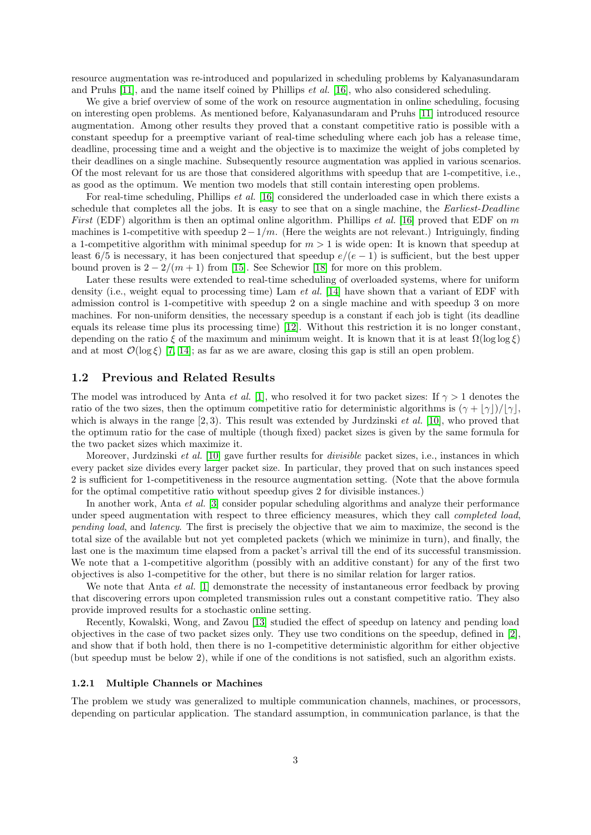resource augmentation was re-introduced and popularized in scheduling problems by Kalyanasundaram and Pruhs  $[11]$ , and the name itself coined by Phillips *et al.* [\[16\]](#page-29-6), who also considered scheduling.

We give a brief overview of some of the work on resource augmentation in online scheduling, focusing on interesting open problems. As mentioned before, Kalyanasundaram and Pruhs [\[11\]](#page-29-5) introduced resource augmentation. Among other results they proved that a constant competitive ratio is possible with a constant speedup for a preemptive variant of real-time scheduling where each job has a release time, deadline, processing time and a weight and the objective is to maximize the weight of jobs completed by their deadlines on a single machine. Subsequently resource augmentation was applied in various scenarios. Of the most relevant for us are those that considered algorithms with speedup that are 1-competitive, i.e., as good as the optimum. We mention two models that still contain interesting open problems.

For real-time scheduling, Phillips *et al.* [\[16\]](#page-29-6) considered the underloaded case in which there exists a schedule that completes all the jobs. It is easy to see that on a single machine, the Earliest-Deadline *First* (EDF) algorithm is then an optimal online algorithm. Phillips *et al.* [\[16\]](#page-29-6) proved that EDF on m machines is 1-competitive with speedup  $2 - 1/m$ . (Here the weights are not relevant.) Intriguingly, finding a 1-competitive algorithm with minimal speedup for  $m > 1$  is wide open: It is known that speedup at least 6/5 is necessary, it has been conjectured that speedup  $e/(e-1)$  is sufficient, but the best upper bound proven is  $2 - 2/(m + 1)$  from [\[15\]](#page-29-7). See Schewior [\[18\]](#page-29-8) for more on this problem.

Later these results were extended to real-time scheduling of overloaded systems, where for uniform density (i.e., weight equal to processing time) Lam *et al.* [\[14\]](#page-29-9) have shown that a variant of EDF with admission control is 1-competitive with speedup 2 on a single machine and with speedup 3 on more machines. For non-uniform densities, the necessary speedup is a constant if each job is tight (its deadline equals its release time plus its processing time) [\[12\]](#page-29-10). Without this restriction it is no longer constant, depending on the ratio  $\xi$  of the maximum and minimum weight. It is known that it is at least  $\Omega(\log \log \xi)$ and at most  $\mathcal{O}(\log \xi)$  [\[7,](#page-29-11) [14\]](#page-29-9); as far as we are aware, closing this gap is still an open problem.

### 1.2 Previous and Related Results

The model was introduced by Anta *et al.* [\[1\]](#page-28-0), who resolved it for two packet sizes: If  $\gamma > 1$  denotes the ratio of the two sizes, then the optimum competitive ratio for deterministic algorithms is  $(\gamma + |\gamma|)/|\gamma|$ , which is always in the range  $[2, 3)$ . This result was extended by Jurdzinski *et al.* [\[10\]](#page-29-0), who proved that the optimum ratio for the case of multiple (though fixed) packet sizes is given by the same formula for the two packet sizes which maximize it.

Moreover, Jurdzinski *et al.* [\[10\]](#page-29-0) gave further results for *divisible* packet sizes, i.e., instances in which every packet size divides every larger packet size. In particular, they proved that on such instances speed 2 is sufficient for 1-competitiveness in the resource augmentation setting. (Note that the above formula for the optimal competitive ratio without speedup gives 2 for divisible instances.)

In another work, Anta *et al.* [\[3\]](#page-28-1) consider popular scheduling algorithms and analyze their performance under speed augmentation with respect to three efficiency measures, which they call *completed load*, pending load, and latency. The first is precisely the objective that we aim to maximize, the second is the total size of the available but not yet completed packets (which we minimize in turn), and finally, the last one is the maximum time elapsed from a packet's arrival till the end of its successful transmission. We note that a 1-competitive algorithm (possibly with an additive constant) for any of the first two objectives is also 1-competitive for the other, but there is no similar relation for larger ratios.

We note that Anta *et al.* [\[1\]](#page-28-0) demonstrate the necessity of instantaneous error feedback by proving that discovering errors upon completed transmission rules out a constant competitive ratio. They also provide improved results for a stochastic online setting.

Recently, Kowalski, Wong, and Zavou [\[13\]](#page-29-12) studied the effect of speedup on latency and pending load objectives in the case of two packet sizes only. They use two conditions on the speedup, defined in [\[2\]](#page-28-2), and show that if both hold, then there is no 1-competitive deterministic algorithm for either objective (but speedup must be below 2), while if one of the conditions is not satisfied, such an algorithm exists.

#### 1.2.1 Multiple Channels or Machines

The problem we study was generalized to multiple communication channels, machines, or processors, depending on particular application. The standard assumption, in communication parlance, is that the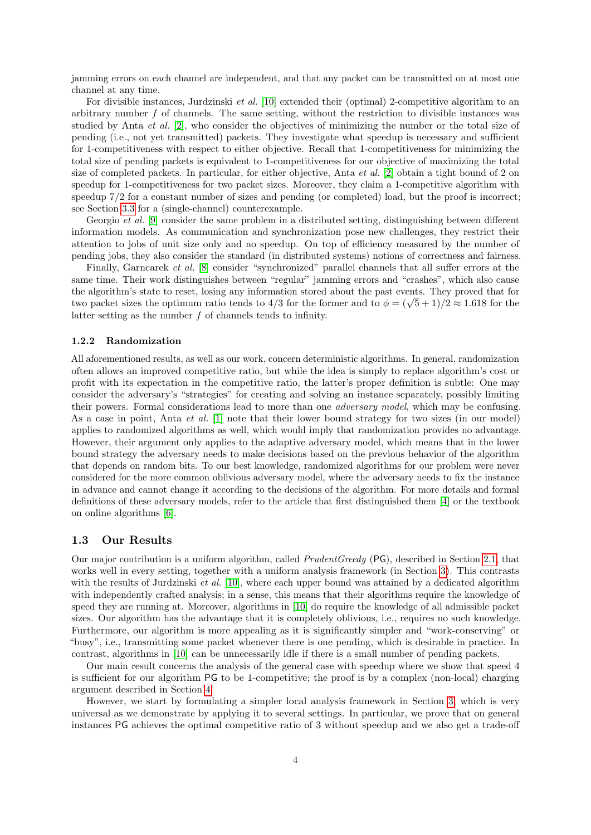jamming errors on each channel are independent, and that any packet can be transmitted on at most one channel at any time.

For divisible instances, Jurdzinski *et al.* [\[10\]](#page-29-0) extended their (optimal) 2-competitive algorithm to an arbitrary number  $f$  of channels. The same setting, without the restriction to divisible instances was studied by Anta et al. [\[2\]](#page-28-2), who consider the objectives of minimizing the number or the total size of pending (i.e., not yet transmitted) packets. They investigate what speedup is necessary and sufficient for 1-competitiveness with respect to either objective. Recall that 1-competitiveness for minimizing the total size of pending packets is equivalent to 1-competitiveness for our objective of maximizing the total size of completed packets. In particular, for either objective, Anta et al. [\[2\]](#page-28-2) obtain a tight bound of 2 on speedup for 1-competitiveness for two packet sizes. Moreover, they claim a 1-competitive algorithm with speedup 7/2 for a constant number of sizes and pending (or completed) load, but the proof is incorrect; see Section [3.3](#page-13-0) for a (single-channel) counterexample.

Georgio et al. [\[9\]](#page-29-13) consider the same problem in a distributed setting, distinguishing between different information models. As communication and synchronization pose new challenges, they restrict their attention to jobs of unit size only and no speedup. On top of efficiency measured by the number of pending jobs, they also consider the standard (in distributed systems) notions of correctness and fairness.

Finally, Garncarek et al. [\[8\]](#page-29-14) consider "synchronized" parallel channels that all suffer errors at the same time. Their work distinguishes between "regular" jamming errors and "crashes", which also cause the algorithm's state to reset, losing any information stored about the past events. They proved that for the algorithm's state to reset, losing any information stored about the past events. They proved that for the two packet sizes the optimum ratio tends to 4/3 for the former and to  $\phi = (\sqrt{5} + 1)/2 \approx 1.618$  for the latter setting as the number f of channels tends to infinity.

#### 1.2.2 Randomization

All aforementioned results, as well as our work, concern deterministic algorithms. In general, randomization often allows an improved competitive ratio, but while the idea is simply to replace algorithm's cost or profit with its expectation in the competitive ratio, the latter's proper definition is subtle: One may consider the adversary's "strategies" for creating and solving an instance separately, possibly limiting their powers. Formal considerations lead to more than one adversary model, which may be confusing. As a case in point, Anta et al. [\[1\]](#page-28-0) note that their lower bound strategy for two sizes (in our model) applies to randomized algorithms as well, which would imply that randomization provides no advantage. However, their argument only applies to the adaptive adversary model, which means that in the lower bound strategy the adversary needs to make decisions based on the previous behavior of the algorithm that depends on random bits. To our best knowledge, randomized algorithms for our problem were never considered for the more common oblivious adversary model, where the adversary needs to fix the instance in advance and cannot change it according to the decisions of the algorithm. For more details and formal definitions of these adversary models, refer to the article that first distinguished them [\[4\]](#page-29-15) or the textbook on online algorithms [\[6\]](#page-29-3).

### 1.3 Our Results

Our major contribution is a uniform algorithm, called PrudentGreedy (PG), described in Section [2.1,](#page-5-0) that works well in every setting, together with a uniform analysis framework (in Section [3\)](#page-6-0). This contrasts with the results of Jurdzinski *et al.* [\[10\]](#page-29-0), where each upper bound was attained by a dedicated algorithm with independently crafted analysis; in a sense, this means that their algorithms require the knowledge of speed they are running at. Moreover, algorithms in [\[10\]](#page-29-0) do require the knowledge of all admissible packet sizes. Our algorithm has the advantage that it is completely oblivious, i.e., requires no such knowledge. Furthermore, our algorithm is more appealing as it is significantly simpler and "work-conserving" or "busy", i.e., transmitting some packet whenever there is one pending, which is desirable in practice. In contrast, algorithms in [\[10\]](#page-29-0) can be unnecessarily idle if there is a small number of pending packets.

Our main result concerns the analysis of the general case with speedup where we show that speed 4 is sufficient for our algorithm PG to be 1-competitive; the proof is by a complex (non-local) charging argument described in Section [4.](#page-17-0)

However, we start by formulating a simpler local analysis framework in Section [3,](#page-6-0) which is very universal as we demonstrate by applying it to several settings. In particular, we prove that on general instances PG achieves the optimal competitive ratio of 3 without speedup and we also get a trade-off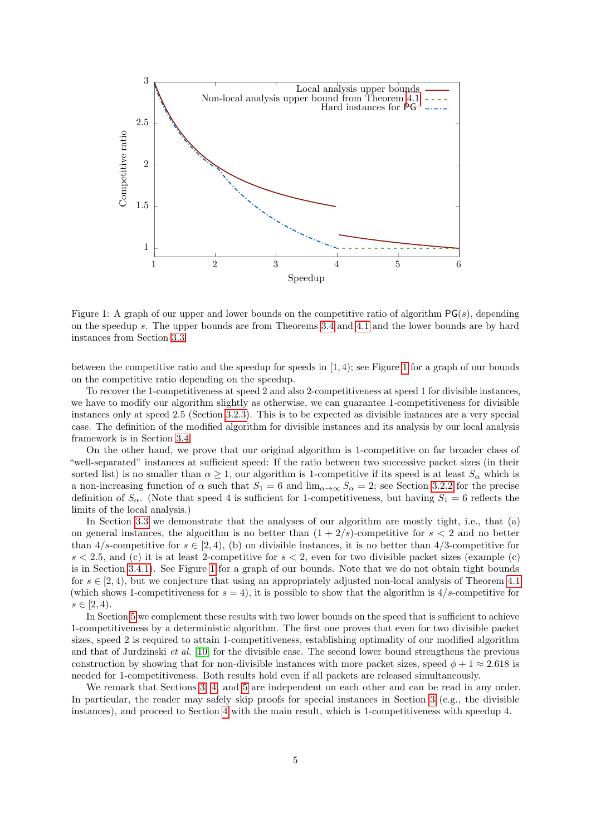

<span id="page-4-0"></span>Figure 1: A graph of our upper and lower bounds on the competitive ratio of algorithm  $PG(s)$ , depending on the speedup s. The upper bounds are from Theorems [3.4](#page-9-0) and [4.1](#page-17-1) and the lower bounds are by hard instances from Section [3.3.](#page-13-0)

between the competitive ratio and the speedup for speeds in [1, 4); see Figure [1](#page-4-0) for a graph of our bounds on the competitive ratio depending on the speedup.

To recover the 1-competitiveness at speed 2 and also 2-competitiveness at speed 1 for divisible instances, we have to modify our algorithm slightly as otherwise, we can guarantee 1-competitiveness for divisible instances only at speed 2.5 (Section [3.2.3\)](#page-13-1). This is to be expected as divisible instances are a very special case. The definition of the modified algorithm for divisible instances and its analysis by our local analysis framework is in Section [3.4.](#page-14-0)

On the other hand, we prove that our original algorithm is 1-competitive on far broader class of "well-separated" instances at sufficient speed: If the ratio between two successive packet sizes (in their sorted list) is no smaller than  $\alpha \geq 1$ , our algorithm is 1-competitive if its speed is at least  $S_{\alpha}$  which is a non-increasing function of  $\alpha$  such that  $S_1 = 6$  and  $\lim_{\alpha \to \infty} S_\alpha = 2$ ; see Section [3.2.2](#page-10-0) for the precise definition of  $S_{\alpha}$ . (Note that speed 4 is sufficient for 1-competitiveness, but having  $S_1 = 6$  reflects the limits of the local analysis.)

In Section [3.3](#page-13-0) we demonstrate that the analyses of our algorithm are mostly tight, i.e., that (a) on general instances, the algorithm is no better than  $(1 + 2/s)$ -competitive for  $s < 2$  and no better than  $4/s$ -competitive for  $s \in [2, 4)$ , (b) on divisible instances, it is no better than  $4/3$ -competitive for  $s < 2.5$ , and (c) it is at least 2-competitive for  $s < 2$ , even for two divisible packet sizes (example (c) is in Section [3.4.1\)](#page-16-0). See Figure [1](#page-4-0) for a graph of our bounds. Note that we do not obtain tight bounds for  $s \in [2, 4)$ , but we conjecture that using an appropriately adjusted non-local analysis of Theorem [4.1](#page-17-1) (which shows 1-competitiveness for  $s = 4$ ), it is possible to show that the algorithm is  $4/s$ -competitive for  $s \in [2, 4)$ .

In Section [5](#page-22-0) we complement these results with two lower bounds on the speed that is sufficient to achieve 1-competitiveness by a deterministic algorithm. The first one proves that even for two divisible packet sizes, speed 2 is required to attain 1-competitiveness, establishing optimality of our modified algorithm and that of Jurdzinski et al. [\[10\]](#page-29-0) for the divisible case. The second lower bound strengthens the previous construction by showing that for non-divisible instances with more packet sizes, speed  $\phi + 1 \approx 2.618$  is needed for 1-competitiveness. Both results hold even if all packets are released simultaneously.

We remark that Sections [3,](#page-6-0) [4,](#page-17-0) and [5](#page-22-0) are independent on each other and can be read in any order. In particular, the reader may safely skip proofs for special instances in Section [3](#page-6-0) (e.g., the divisible instances), and proceed to Section [4](#page-17-0) with the main result, which is 1-competitiveness with speedup 4.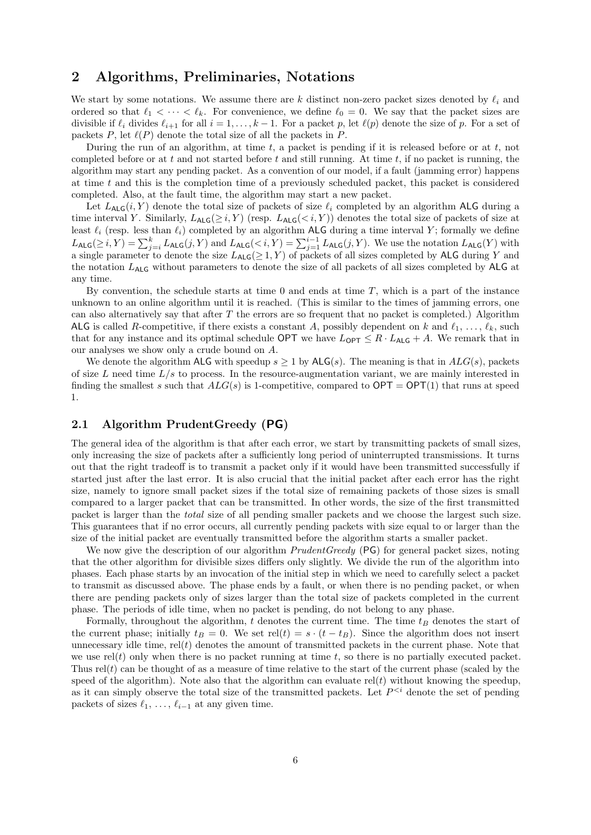## 2 Algorithms, Preliminaries, Notations

We start by some notations. We assume there are k distinct non-zero packet sizes denoted by  $\ell_i$  and ordered so that  $\ell_1 < \cdots < \ell_k$ . For convenience, we define  $\ell_0 = 0$ . We say that the packet sizes are divisible if  $\ell_i$  divides  $\ell_{i+1}$  for all  $i = 1, \ldots, k - 1$ . For a packet p, let  $\ell(p)$  denote the size of p. For a set of packets P, let  $\ell(P)$  denote the total size of all the packets in P.

During the run of an algorithm, at time  $t$ , a packet is pending if it is released before or at  $t$ , not completed before or at t and not started before t and still running. At time t, if no packet is running, the algorithm may start any pending packet. As a convention of our model, if a fault (jamming error) happens at time t and this is the completion time of a previously scheduled packet, this packet is considered completed. Also, at the fault time, the algorithm may start a new packet.

Let  $L_{\text{ALG}}(i, Y)$  denote the total size of packets of size  $\ell_i$  completed by an algorithm ALG during a time interval Y. Similarly,  $L_{\text{ALG}}(\geq i, Y)$  (resp.  $L_{\text{ALG}}(\leq i, Y)$ ) denotes the total size of packets of size at least  $\ell_i$  (resp. less than  $\ell_i$ ) completed by an algorithm ALG during a time interval Y; formally we define  $L_{\text{ALG}}(\geq i, Y) = \sum_{j=i}^{k} L_{\text{ALG}}(j, Y)$  and  $L_{\text{ALG}}(\leq i, Y) = \sum_{j=1}^{i-1} L_{\text{ALG}}(j, Y)$ . We use the notation  $L_{\text{ALG}}(Y)$  with a single parameter to denote the size  $L_{\text{ALG}}(\geq 1, Y)$  of packets of all sizes completed by ALG during Y and the notation LALG without parameters to denote the size of all packets of all sizes completed by ALG at any time.

By convention, the schedule starts at time  $0$  and ends at time  $T$ , which is a part of the instance unknown to an online algorithm until it is reached. (This is similar to the times of jamming errors, one can also alternatively say that after  $T$  the errors are so frequent that no packet is completed.) Algorithm ALG is called R-competitive, if there exists a constant A, possibly dependent on k and  $\ell_1, \ldots, \ell_k$ , such that for any instance and its optimal schedule OPT we have  $L_{\text{OPT}} \leq R \cdot L_{\text{ALG}} + A$ . We remark that in our analyses we show only a crude bound on A.

We denote the algorithm ALG with speedup  $s \geq 1$  by ALG(s). The meaning is that in  $ALG(s)$ , packets of size  $L$  need time  $L/s$  to process. In the resource-augmentation variant, we are mainly interested in finding the smallest s such that  $ALG(s)$  is 1-competitive, compared to  $OPT = OPT(1)$  that runs at speed 1.

## <span id="page-5-0"></span>2.1 Algorithm PrudentGreedy (PG)

The general idea of the algorithm is that after each error, we start by transmitting packets of small sizes, only increasing the size of packets after a sufficiently long period of uninterrupted transmissions. It turns out that the right tradeoff is to transmit a packet only if it would have been transmitted successfully if started just after the last error. It is also crucial that the initial packet after each error has the right size, namely to ignore small packet sizes if the total size of remaining packets of those sizes is small compared to a larger packet that can be transmitted. In other words, the size of the first transmitted packet is larger than the total size of all pending smaller packets and we choose the largest such size. This guarantees that if no error occurs, all currently pending packets with size equal to or larger than the size of the initial packet are eventually transmitted before the algorithm starts a smaller packet.

We now give the description of our algorithm *PrudentGreedy* (PG) for general packet sizes, noting that the other algorithm for divisible sizes differs only slightly. We divide the run of the algorithm into phases. Each phase starts by an invocation of the initial step in which we need to carefully select a packet to transmit as discussed above. The phase ends by a fault, or when there is no pending packet, or when there are pending packets only of sizes larger than the total size of packets completed in the current phase. The periods of idle time, when no packet is pending, do not belong to any phase.

Formally, throughout the algorithm, t denotes the current time. The time  $t_B$  denotes the start of the current phase; initially  $t_B = 0$ . We set rel(t) =  $s \cdot (t - t_B)$ . Since the algorithm does not insert unnecessary idle time,  $rel(t)$  denotes the amount of transmitted packets in the current phase. Note that we use  $rel(t)$  only when there is no packet running at time t, so there is no partially executed packet. Thus  $rel(t)$  can be thought of as a measure of time relative to the start of the current phase (scaled by the speed of the algorithm). Note also that the algorithm can evaluate  $rel(t)$  without knowing the speedup, as it can simply observe the total size of the transmitted packets. Let  $P^{< i}$  denote the set of pending packets of sizes  $\ell_1, \ldots, \ell_{i-1}$  at any given time.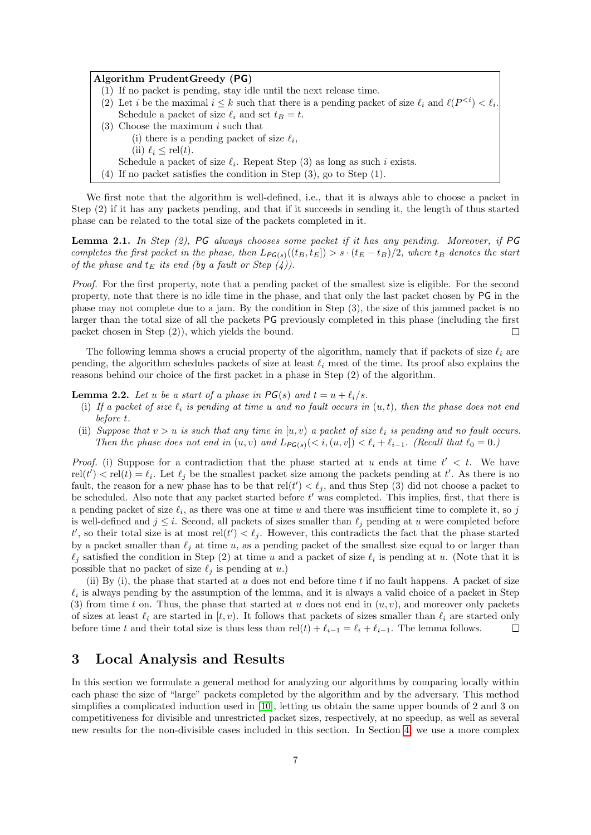#### Algorithm PrudentGreedy (PG)

- (1) If no packet is pending, stay idle until the next release time.
- (2) Let *i* be the maximal  $i \leq k$  such that there is a pending packet of size  $\ell_i$  and  $\ell(P^{< i}) < \ell_i$ . Schedule a packet of size  $\ell_i$  and set  $t_B = t$ .
- (3) Choose the maximum  $i$  such that (i) there is a pending packet of size  $\ell_i$ , (ii)  $\ell_i \le$  rel(t).
	- Schedule a packet of size  $\ell_i$ . Repeat Step (3) as long as such i exists.
- (4) If no packet satisfies the condition in Step (3), go to Step (1).

We first note that the algorithm is well-defined, i.e., that it is always able to choose a packet in Step (2) if it has any packets pending, and that if it succeeds in sending it, the length of thus started phase can be related to the total size of the packets completed in it.

<span id="page-6-2"></span>**Lemma 2.1.** In Step  $(2)$ , PG always chooses some packet if it has any pending. Moreover, if PG completes the first packet in the phase, then  $L_{PG(s)}((t_B, t_E]) > s \cdot (t_E - t_B)/2$ , where  $t_B$  denotes the start of the phase and  $t_E$  its end (by a fault or Step  $(4)$ ).

Proof. For the first property, note that a pending packet of the smallest size is eligible. For the second property, note that there is no idle time in the phase, and that only the last packet chosen by PG in the phase may not complete due to a jam. By the condition in Step (3), the size of this jammed packet is no larger than the total size of all the packets PG previously completed in this phase (including the first packet chosen in Step (2)), which yields the bound.  $\Box$ 

The following lemma shows a crucial property of the algorithm, namely that if packets of size  $\ell_i$  are pending, the algorithm schedules packets of size at least  $\ell_i$  most of the time. Its proof also explains the reasons behind our choice of the first packet in a phase in Step (2) of the algorithm.

<span id="page-6-1"></span>**Lemma 2.2.** Let u be a start of a phase in  $PG(s)$  and  $t = u + \ell_i/s$ .

- (i) If a packet of size  $\ell_i$  is pending at time u and no fault occurs in  $(u, t)$ , then the phase does not end before t.
- (ii) Suppose that  $v > u$  is such that any time in  $[u, v]$  a packet of size  $\ell_i$  is pending and no fault occurs. Then the phase does not end in  $(u, v)$  and  $L_{PG(s)}(< i, (u, v]) < \ell_i + \ell_{i-1}$ . (Recall that  $\ell_0 = 0$ .)

*Proof.* (i) Suppose for a contradiction that the phase started at u ends at time  $t' < t$ . We have  $rel(t') < rel(t) = \ell_i$ . Let  $\ell_j$  be the smallest packet size among the packets pending at t'. As there is no fault, the reason for a new phase has to be that  $rel(t') < \ell_j$ , and thus Step (3) did not choose a packet to be scheduled. Also note that any packet started before  $t'$  was completed. This implies, first, that there is a pending packet of size  $\ell_i$ , as there was one at time u and there was insufficient time to complete it, so j is well-defined and  $j \leq i$ . Second, all packets of sizes smaller than  $\ell_j$  pending at u were completed before  $t'$ , so their total size is at most rel $(t') < \ell_j$ . However, this contradicts the fact that the phase started by a packet smaller than  $\ell_j$  at time u, as a pending packet of the smallest size equal to or larger than  $\ell_j$  satisfied the condition in Step (2) at time u and a packet of size  $\ell_i$  is pending at u. (Note that it is possible that no packet of size  $\ell_j$  is pending at u.)

(ii) By (i), the phase that started at u does not end before time t if no fault happens. A packet of size  $\ell_i$  is always pending by the assumption of the lemma, and it is always a valid choice of a packet in Step (3) from time t on. Thus, the phase that started at u does not end in  $(u, v)$ , and moreover only packets of sizes at least  $\ell_i$  are started in  $[t, v)$ . It follows that packets of sizes smaller than  $\ell_i$  are started only before time t and their total size is thus less than rel(t) +  $\ell_{i-1} = \ell_i + \ell_{i-1}$ . The lemma follows.  $\Box$ 

## <span id="page-6-0"></span>3 Local Analysis and Results

In this section we formulate a general method for analyzing our algorithms by comparing locally within each phase the size of "large" packets completed by the algorithm and by the adversary. This method simplifies a complicated induction used in [\[10\]](#page-29-0), letting us obtain the same upper bounds of 2 and 3 on competitiveness for divisible and unrestricted packet sizes, respectively, at no speedup, as well as several new results for the non-divisible cases included in this section. In Section [4,](#page-17-0) we use a more complex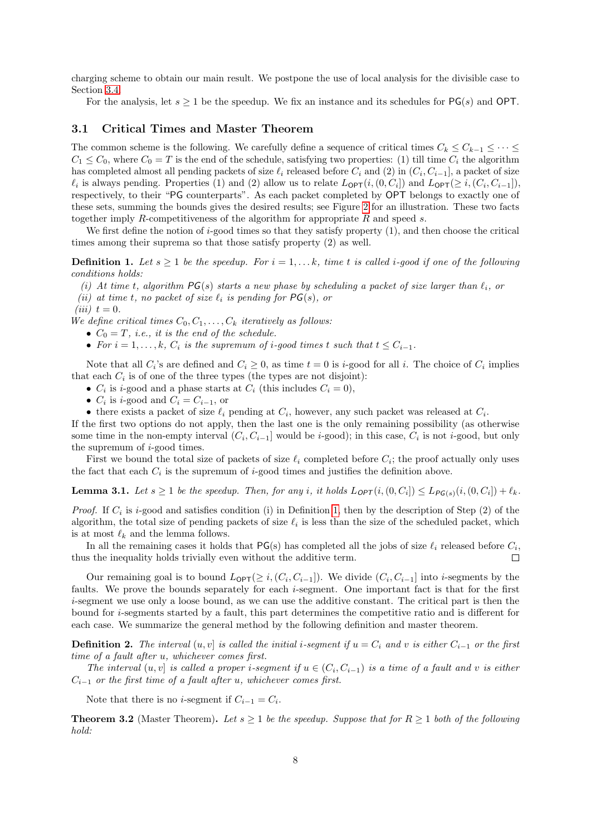charging scheme to obtain our main result. We postpone the use of local analysis for the divisible case to Section [3.4.](#page-14-0)

For the analysis, let  $s \geq 1$  be the speedup. We fix an instance and its schedules for PG(s) and OPT.

## <span id="page-7-2"></span>3.1 Critical Times and Master Theorem

The common scheme is the following. We carefully define a sequence of critical times  $C_k \leq C_{k-1} \leq \cdots \leq C_k$  $C_1 \leq C_0$ , where  $C_0 = T$  is the end of the schedule, satisfying two properties: (1) till time  $C_i$  the algorithm has completed almost all pending packets of size  $\ell_i$  released before  $C_i$  and (2) in  $(C_i, C_{i-1}]$ , a packet of size  $\ell_i$  is always pending. Properties (1) and (2) allow us to relate  $L_{\text{OPT}}(i, (0, C_i])$  and  $L_{\text{OPT}}(\geq i, (C_i, C_{i-1}])$ , respectively, to their "PG counterparts". As each packet completed by OPT belongs to exactly one of these sets, summing the bounds gives the desired results; see Figure [2](#page-8-0) for an illustration. These two facts together imply R-competitiveness of the algorithm for appropriate R and speed s.

We first define the notion of  $i$ -good times so that they satisfy property  $(1)$ , and then choose the critical times among their suprema so that those satisfy property (2) as well.

<span id="page-7-0"></span>**Definition 1.** Let  $s \geq 1$  be the speedup. For  $i = 1, \ldots k$ , time t is called i-good if one of the following conditions holds:

(i) At time t, algorithm  $PG(s)$  starts a new phase by scheduling a packet of size larger than  $\ell_i$ , or

(ii) at time t, no packet of size  $\ell_i$  is pending for  $PG(s)$ , or

(iii)  $t = 0$ .

We define critical times  $C_0, C_1, \ldots, C_k$  iteratively as follows:

- $C_0 = T$ , *i.e.*, *it is the end of the schedule.*
- For  $i = 1, \ldots, k$ ,  $C_i$  is the supremum of i-good times t such that  $t \leq C_{i-1}$ .

Note that all  $C_i$ 's are defined and  $C_i \geq 0$ , as time  $t = 0$  is *i*-good for all *i*. The choice of  $C_i$  implies that each  $C_i$  is of one of the three types (the types are not disjoint):

- $C_i$  is *i*-good and a phase starts at  $C_i$  (this includes  $C_i = 0$ ),
- $C_i$  is *i*-good and  $C_i = C_{i-1}$ , or
- there exists a packet of size  $\ell_i$  pending at  $C_i$ , however, any such packet was released at  $C_i$ .

If the first two options do not apply, then the last one is the only remaining possibility (as otherwise some time in the non-empty interval  $(C_i, C_{i-1}]$  would be *i*-good); in this case,  $C_i$  is not *i*-good, but only the supremum of i-good times.

First we bound the total size of packets of size  $\ell_i$  completed before  $C_i$ ; the proof actually only uses the fact that each  $C_i$  is the supremum of *i*-good times and justifies the definition above.

<span id="page-7-1"></span>**Lemma 3.1.** Let  $s \geq 1$  be the speedup. Then, for any i, it holds  $L_{OPT}(i, (0, C_i]) \leq L_{PG(s)}(i, (0, C_i]) + \ell_k$ .

*Proof.* If  $C_i$  is *i*-good and satisfies condition (i) in Definition [1,](#page-7-0) then by the description of Step (2) of the algorithm, the total size of pending packets of size  $\ell_i$  is less than the size of the scheduled packet, which is at most  $\ell_k$  and the lemma follows.

In all the remaining cases it holds that  $PG(s)$  has completed all the jobs of size  $\ell_i$  released before  $C_i$ , thus the inequality holds trivially even without the additive term.  $\Box$ 

Our remaining goal is to bound  $L_{\text{OPT}}(\geq i, (C_i, C_{i-1}])$ . We divide  $(C_i, C_{i-1}]$  into *i*-segments by the faults. We prove the bounds separately for each i-segment. One important fact is that for the first i-segment we use only a loose bound, as we can use the additive constant. The critical part is then the bound for i-segments started by a fault, this part determines the competitive ratio and is different for each case. We summarize the general method by the following definition and master theorem.

**Definition 2.** The interval  $(u, v]$  is called the initial i-segment if  $u = C_i$  and v is either  $C_{i-1}$  or the first time of a fault after u, whichever comes first.

The interval  $(u, v]$  is called a proper i-segment if  $u \in (C_i, C_{i-1})$  is a time of a fault and v is either  $C_{i-1}$  or the first time of a fault after u, whichever comes first.

Note that there is no *i*-segment if  $C_{i-1} = C_i$ .

**Theorem 3.2** (Master Theorem). Let  $s \geq 1$  be the speedup. Suppose that for  $R \geq 1$  both of the following hold: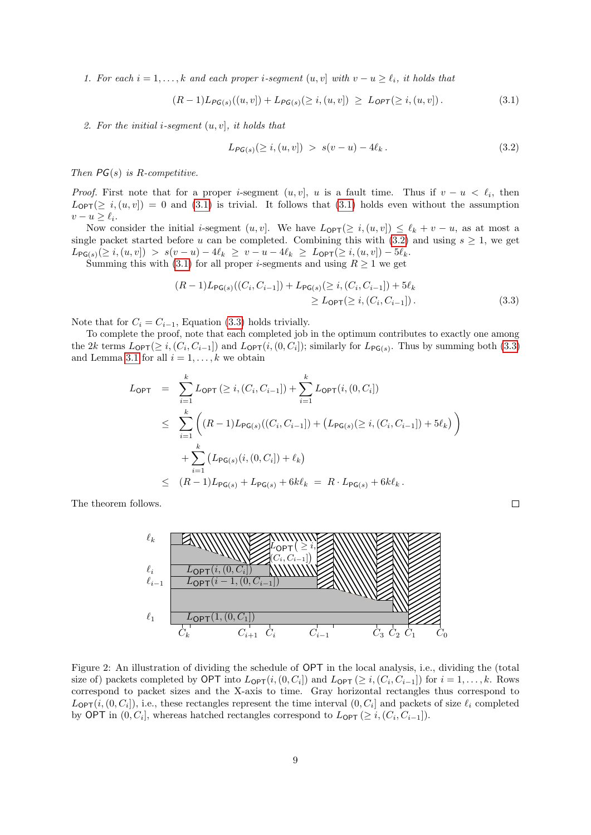1. For each  $i = 1, \ldots, k$  and each proper i-segment  $(u, v]$  with  $v - u \ge \ell_i$ , it holds that

<span id="page-8-1"></span>
$$
(R-1)L_{PG(s)}((u,v]) + L_{PG(s)}(\geq i, (u,v]) \geq L_{OPT}(\geq i, (u,v]). \tag{3.1}
$$

2. For the initial i-segment  $(u, v)$ , it holds that

<span id="page-8-2"></span>
$$
L_{\mathsf{PG}(s)}(\geq i,(u,v]) \; > \; s(v-u) - 4\ell_k \,. \tag{3.2}
$$

Then  $PG(s)$  is R-competitive.

*Proof.* First note that for a proper *i*-segment  $(u, v]$ , u is a fault time. Thus if  $v - u < \ell_i$ , then  $L_{\text{OPT}}(\geq i,(u,v]) = 0$  and [\(3.1\)](#page-8-1) is trivial. It follows that (3.1) holds even without the assumption  $v - u \geq \ell_i$ .

Now consider the initial *i*-segment  $(u, v]$ . We have  $L_{\text{OPT}}(\geq i, (u, v]) \leq \ell_k + v - u$ , as at most a single packet started before u can be completed. Combining this with [\(3.2\)](#page-8-2) and using  $s \geq 1$ , we get  $L_{\mathsf{PG}(s)}(\geq i,(u,v]) > s(v-u) - 4\ell_k \geq v-u - 4\ell_k \geq L_{\mathsf{OPT}}(\geq i,(u,v]) - 5\ell_k.$ 

Summing this with [\(3.1\)](#page-8-1) for all proper *i*-segments and using  $R \ge 1$  we get

$$
(R-1)L_{\mathsf{PG}(s)}((C_i, C_{i-1}]) + L_{\mathsf{PG}(s)}(\geq i, (C_i, C_{i-1}]) + 5\ell_k
$$
  
\n
$$
\geq L_{\mathsf{OPT}}(\geq i, (C_i, C_{i-1}]).
$$
\n(3.3)

Note that for  $C_i = C_{i-1}$ , Equation [\(3.3\)](#page-8-3) holds trivially.

To complete the proof, note that each completed job in the optimum contributes to exactly one among the 2k terms  $L_{\text{OPT}}(\geq i, (C_i, C_{i-1}])$  and  $L_{\text{OPT}}(i, (0, C_i])$ ; similarly for  $L_{\text{PG}(s)}$ . Thus by summing both [\(3.3\)](#page-8-3) and Lemma [3.1](#page-7-1) for all  $i = 1, \ldots, k$  we obtain

$$
L_{\text{OPT}} = \sum_{i=1}^{k} L_{\text{OPT}} (\geq i, (C_i, C_{i-1}]) + \sum_{i=1}^{k} L_{\text{OPT}}(i, (0, C_i])
$$
  
\n
$$
\leq \sum_{i=1}^{k} \left( (R - 1)L_{\text{PG}(s)}((C_i, C_{i-1}]) + (L_{\text{PG}(s)}(\geq i, (C_i, C_{i-1}]) + 5\ell_k) \right)
$$
  
\n
$$
+ \sum_{i=1}^{k} (L_{\text{PG}(s)}(i, (0, C_i]) + \ell_k)
$$
  
\n
$$
\leq (R - 1)L_{\text{PG}(s)} + L_{\text{PG}(s)} + 6k\ell_k = R \cdot L_{\text{PG}(s)} + 6k\ell_k.
$$

The theorem follows.



<span id="page-8-0"></span>Figure 2: An illustration of dividing the schedule of OPT in the local analysis, i.e., dividing the (total size of) packets completed by OPT into  $L_{\mathsf{OPT}}(i,(0,C_i])$  and  $L_{\mathsf{OPT}}(\geq i,(C_i,C_{i-1}])$  for  $i=1,\ldots,k$ . Rows correspond to packet sizes and the X-axis to time. Gray horizontal rectangles thus correspond to  $L_{\text{OPT}}(i, (0, C_i]),$  i.e., these rectangles represent the time interval  $(0, C_i]$  and packets of size  $\ell_i$  completed by OPT in  $(0, C_i]$ , whereas hatched rectangles correspond to  $L_{\text{OPT}} \geq i, (C_i, C_{i-1}]$ .

<span id="page-8-3"></span> $\Box$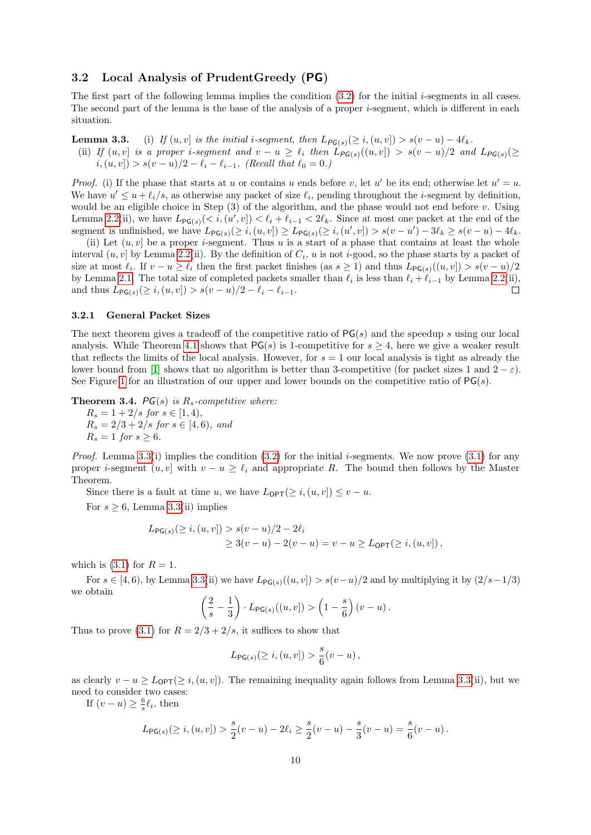## 3.2 Local Analysis of PrudentGreedy (PG)

The first part of the following lemma implies the condition  $(3.2)$  for the initial *i*-segments in all cases. The second part of the lemma is the base of the analysis of a proper  $i$ -segment, which is different in each situation.

**Lemma 3.3.** (i) If  $(u, v)$  is the initial i-segment, then  $L_{PG(s)}(\geq i, (u, v]) > s(v - u) - 4\ell_k$ . (ii) If  $(u, v)$  is a proper i-segment and  $v - u \geq \ell_i$  then  $\widehat{L}_{PG(s)}((u, v)) > s(v - u)/2$  and  $L_{PG(s)}(\geq$  $i, (u, v]) > s(v - u)/2 - \ell_i - \ell_{i-1}.$  (Recall that  $\ell_0 = 0.$ )

*Proof.* (i) If the phase that starts at u or contains u ends before v, let u' be its end; otherwise let  $u' = u$ . We have  $u' \leq u + \ell_i/s$ , as otherwise any packet of size  $\ell_i$ , pending throughout the *i*-segment by definition, would be an eligible choice in Step  $(3)$  of the algorithm, and the phase would not end before v. Using Lemma [2.2\(](#page-6-1)ii), we have  $L_{\mathsf{PG}(s)}(< i,(u',v]) < \ell_i + \ell_{i-1} < 2\ell_k$ . Since at most one packet at the end of the segment is unfinished, we have  $L_{\mathsf{PG}(s)}(\geq i,(u,v]) \geq L_{\mathsf{PG}(s)}(\geq i,(u',v]) > s(v-u') - 3\ell_k \geq s(v-u) - 4\ell_k$ .

(ii) Let  $(u, v]$  be a proper *i*-segment. Thus u is a start of a phase that contains at least the whole interval  $(u, v]$  by Lemma [2.2\(](#page-6-1)ii). By the definition of  $C_i$ ,  $u$  is not *i*-good, so the phase starts by a packet of size at most  $\ell_i$ . If  $v - u \ge \ell_i$  then the first packet finishes (as  $s \ge 1$ ) and thus  $L_{\mathsf{PG}(s)}((u, v]) > s(v - u)/2$ by Lemma [2.1.](#page-6-2) The total size of completed packets smaller than  $\ell_i$  is less than  $\ell_i + \ell_{i-1}$  by Lemma [2.2\(](#page-6-1)ii), and thus  $L_{\mathsf{PG}(s)}(\geq i,(u,v]) > s(v-u)/2 - \ell_i - \ell_{i-1}.$  $\Box$ 

#### 3.2.1 General Packet Sizes

The next theorem gives a tradeoff of the competitive ratio of  $PG(s)$  and the speedup s using our local analysis. While Theorem [4.1](#page-17-1) shows that  $PG(s)$  is 1-competitive for  $s > 4$ , here we give a weaker result that reflects the limits of the local analysis. However, for  $s = 1$  our local analysis is tight as already the lower bound from [\[1\]](#page-28-0) shows that no algorithm is better than 3-competitive (for packet sizes 1 and  $2 - \varepsilon$ ). See Figure [1](#page-4-0) for an illustration of our upper and lower bounds on the competitive ratio of  $PG(s)$ .

<span id="page-9-0"></span>**Theorem 3.4.** PG(s) is  $R_s$ -competitive where:

 $R_s = 1 + 2/s$  for  $s \in [1, 4)$ ,  $R_s = 2/3 + 2/s$  for  $s \in [4, 6)$ , and  $R_s = 1$  for  $s \geq 6$ .

*Proof.* Lemma [3.3\(](#page-0-0)i) implies the condition [\(3.2\)](#page-8-2) for the initial *i*-segments. We now prove [\(3.1\)](#page-8-1) for any proper *i*-segment  $(u, v]$  with  $v - u \geq \ell_i$  and appropriate R. The bound then follows by the Master Theorem.

Since there is a fault at time u, we have  $L_{\text{OPT}}(\geq i,(u,v]) \leq v - u$ .

For  $s \geq 6$ , Lemma [3.3\(](#page-0-0)ii) implies

$$
L_{\mathsf{PG}(s)}(\geq i, (u, v]) > s(v - u)/2 - 2\ell_i
$$
  
 
$$
\geq 3(v - u) - 2(v - u) = v - u \geq L_{\mathsf{OPT}}(\geq i, (u, v]),
$$

which is  $(3.1)$  for  $R = 1$ .

For  $s \in [4, 6)$ , by Lemma [3.3\(](#page-0-0)ii) we have  $L_{\mathsf{PG}(s)}((u, v]) > s(v-u)/2$  and by multiplying it by  $(2/s-1/3)$ we obtain

$$
\left(\frac{2}{s}-\frac{1}{3}\right)\cdot L_{\mathsf{PG}(s)}((u,v])>\left(1-\frac{s}{6}\right)(v-u).
$$

Thus to prove [\(3.1\)](#page-8-1) for  $R = 2/3 + 2/s$ , it suffices to show that

$$
L_{\mathsf{PG}(s)}(\geq i,(u,v]) > \frac{s}{6}(v-u)\,,
$$

as clearly  $v - u \geq L_{\text{OPT}}(\geq i, (u, v])$ . The remaining inequality again follows from Lemma [3.3\(](#page-0-0)ii), but we need to consider two cases:

If  $(v - u) \geq \frac{6}{s} \ell_i$ , then

$$
L_{\mathsf{PG}(s)}(\geq i,(u,v]) > \frac{s}{2}(v-u) - 2\ell_i \geq \frac{s}{2}(v-u) - \frac{s}{3}(v-u) = \frac{s}{6}(v-u).
$$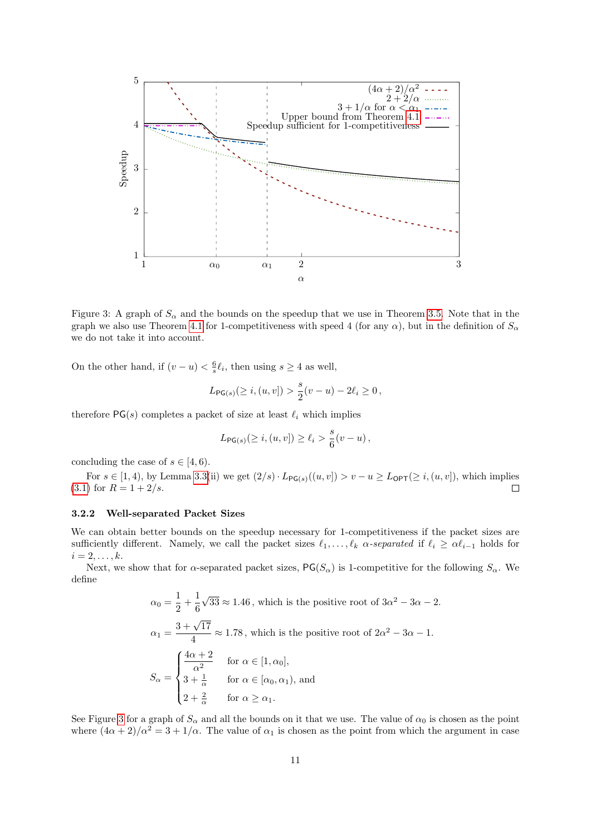

<span id="page-10-1"></span>Figure 3: A graph of  $S_\alpha$  and the bounds on the speedup that we use in Theorem [3.5.](#page-11-0) Note that in the graph we also use Theorem [4.1](#page-17-1) for 1-competitiveness with speed 4 (for any  $\alpha$ ), but in the definition of  $S_{\alpha}$ we do not take it into account.

On the other hand, if  $(v - u) < \frac{6}{s} \ell_i$ , then using  $s \geq 4$  as well,

$$
L_{\mathsf{PG}(s)}(\geq i,(u,v]) > \frac{s}{2}(v-u) - 2\ell_i \geq 0,
$$

therefore  $PG(s)$  completes a packet of size at least  $\ell_i$  which implies

$$
L_{\mathsf{PG}(s)}(\geq i,(u,v])\geq \ell_i > \frac{s}{6}(v-u)\,,
$$

concluding the case of  $s \in [4, 6)$ .

For  $s \in [1, 4)$ , by Lemma [3.3\(](#page-0-0)ii) we get  $(2/s) \cdot L_{\mathsf{PG}(s)}((u, v]) > v - u \geq L_{\mathsf{OPT}}(\geq i, (u, v])$ , which implies  $(3.1)$  for  $R = 1 + 2/s$ .  $\Box$ 

#### <span id="page-10-0"></span>3.2.2 Well-separated Packet Sizes

We can obtain better bounds on the speedup necessary for 1-competitiveness if the packet sizes are sufficiently different. Namely, we call the packet sizes  $\ell_1, \ldots, \ell_k$  α-separated if  $\ell_i \geq \alpha \ell_{i-1}$  holds for  $i=2,\ldots,k.$ 

Next, we show that for  $\alpha$ -separated packet sizes,  $PG(S_{\alpha})$  is 1-competitive for the following  $S_{\alpha}$ . We define

$$
\alpha_0 = \frac{1}{2} + \frac{1}{6}\sqrt{33} \approx 1.46
$$
, which is the positive root of  $3\alpha^2 - 3\alpha - 2$ .  
\n
$$
\alpha_1 = \frac{3 + \sqrt{17}}{4} \approx 1.78
$$
, which is the positive root of  $2\alpha^2 - 3\alpha - 1$ .  
\n
$$
S_{\alpha} = \begin{cases} \frac{4\alpha + 2}{\alpha^2} & \text{for } \alpha \in [1, \alpha_0], \\ 3 + \frac{1}{\alpha} & \text{for } \alpha \in [\alpha_0, \alpha_1), \text{ and} \\ 2 + \frac{2}{\alpha} & \text{for } \alpha \ge \alpha_1. \end{cases}
$$

See Figure [3](#page-10-1) for a graph of  $S_\alpha$  and all the bounds on it that we use. The value of  $\alpha_0$  is chosen as the point where  $(4\alpha + 2)/\alpha^2 = 3 + 1/\alpha$ . The value of  $\alpha_1$  is chosen as the point from which the argument in case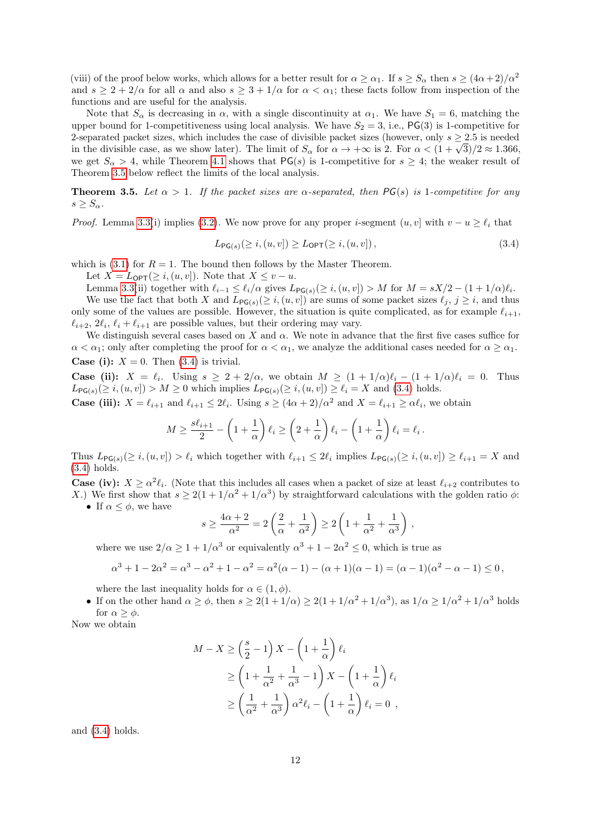(viii) of the proof below works, which allows for a better result for  $\alpha > \alpha_1$ . If  $s > S_\alpha$  then  $s > (4\alpha + 2)/\alpha^2$ and  $s \geq 2 + 2/\alpha$  for all  $\alpha$  and also  $s \geq 3 + 1/\alpha$  for  $\alpha < \alpha_1$ ; these facts follow from inspection of the functions and are useful for the analysis.

Note that  $S_\alpha$  is decreasing in  $\alpha$ , with a single discontinuity at  $\alpha_1$ . We have  $S_1 = 6$ , matching the upper bound for 1-competitiveness using local analysis. We have  $S_2 = 3$ , i.e., PG(3) is 1-competitive for 2-separated packet sizes, which includes the case of divisible packet sizes (however, only  $s \geq 2.5$  is needed 2-separated packet sizes, which includes the case of divisible packet sizes (nowever, only  $s \ge 2.5$  is needed<br>in the divisible case, as we show later). The limit of  $S_\alpha$  for  $\alpha \to +\infty$  is 2. For  $\alpha < (1 + \sqrt{3})/2 \approx 1.366$ we get  $S_{\alpha} > 4$ , while Theorem [4.1](#page-17-1) shows that  $PG(s)$  is 1-competitive for  $s \geq 4$ ; the weaker result of Theorem [3.5](#page-11-0) below reflect the limits of the local analysis.

<span id="page-11-0"></span>**Theorem 3.5.** Let  $\alpha > 1$ . If the packet sizes are  $\alpha$ -separated, then PG(s) is 1-competitive for any  $s > S_{\alpha}$ .

*Proof.* Lemma [3.3\(](#page-0-0)i) implies [\(3.2\)](#page-8-2). We now prove for any proper *i*-segment  $(u, v]$  with  $v - u \geq \ell_i$  that

<span id="page-11-1"></span>
$$
L_{\mathsf{PG}(s)}(\geq i,(u,v]) \geq L_{\mathsf{OPT}}(\geq i,(u,v]),\tag{3.4}
$$

which is [\(3.1\)](#page-8-1) for  $R = 1$ . The bound then follows by the Master Theorem.

Let  $X = L_{\text{OPT}}(\geq i, (u, v])$ . Note that  $X \leq v - u$ .

Lemma [3.3\(](#page-0-0)ii) together with  $\ell_{i-1} \leq \ell_i/\alpha$  gives  $L_{\mathsf{PG}(s)} (\geq i,(u,v]) > M$  for  $M = sX/2 - (1 + 1/\alpha)\ell_i$ . We use the fact that both X and  $L_{\mathsf{PG}(s)}(\geq i, (u, v])$  are sums of some packet sizes  $\ell_j, j \geq i$ , and thus only some of the values are possible. However, the situation is quite complicated, as for example  $\ell_{i+1}$ ,  $\ell_{i+2}, 2\ell_i, \ell_i + \ell_{i+1}$  are possible values, but their ordering may vary.

We distinguish several cases based on  $X$  and  $\alpha$ . We note in advance that the first five cases suffice for  $\alpha < \alpha_1$ ; only after completing the proof for  $\alpha < \alpha_1$ , we analyze the additional cases needed for  $\alpha \geq \alpha_1$ . **Case (i):**  $X = 0$ . Then [\(3.4\)](#page-11-1) is trivial.

**Case (ii):**  $X = \ell_i$ . Using  $s \geq 2 + 2/\alpha$ , we obtain  $M \geq (1 + 1/\alpha)\ell_i - (1 + 1/\alpha)\ell_i = 0$ . Thus  $L_{\mathsf{PG}(s)}(\geq i,(u,v]) > M \geq 0$  which implies  $L_{\mathsf{PG}(s)}(\geq i,(u,v]) \geq \ell_i = X$  and [\(3.4\)](#page-11-1) holds.

**Case (iii):**  $X = \ell_{i+1}$  and  $\ell_{i+1} \leq 2\ell_i$ . Using  $s \geq (4\alpha + 2)/\alpha^2$  and  $X = \ell_{i+1} \geq \alpha \ell_i$ , we obtain

$$
M \ge \frac{s\ell_{i+1}}{2} - \left(1 + \frac{1}{\alpha}\right)\ell_i \ge \left(2 + \frac{1}{\alpha}\right)\ell_i - \left(1 + \frac{1}{\alpha}\right)\ell_i = \ell_i.
$$

Thus  $L_{\mathsf{PG}(s)}(\geq i,(u,v]) > \ell_i$  which together with  $\ell_{i+1} \leq 2\ell_i$  implies  $L_{\mathsf{PG}(s)}(\geq i,(u,v]) \geq \ell_{i+1} = X$  and [\(3.4\)](#page-11-1) holds.

**Case (iv):**  $X \ge \alpha^2 \ell_i$ . (Note that this includes all cases when a packet of size at least  $\ell_{i+2}$  contributes to X.) We first show that  $s \geq 2(1+1/\alpha^2+1/\alpha^3)$  by straightforward calculations with the golden ratio  $\phi$ :

• If  $\alpha \leq \phi$ , we have

$$
s \ge \frac{4\alpha + 2}{\alpha^2} = 2\left(\frac{2}{\alpha} + \frac{1}{\alpha^2}\right) \ge 2\left(1 + \frac{1}{\alpha^2} + \frac{1}{\alpha^3}\right),
$$

where we use  $2/\alpha \geq 1 + 1/\alpha^3$  or equivalently  $\alpha^3 + 1 - 2\alpha^2 \leq 0$ , which is true as

$$
\alpha^{3} + 1 - 2\alpha^{2} = \alpha^{3} - \alpha^{2} + 1 - \alpha^{2} = \alpha^{2}(\alpha - 1) - (\alpha + 1)(\alpha - 1) = (\alpha - 1)(\alpha^{2} - \alpha - 1) \leq 0,
$$

where the last inequality holds for  $\alpha \in (1, \phi)$ .

• If on the other hand  $\alpha \ge \phi$ , then  $s \ge 2(1+1/\alpha) \ge 2(1+1/\alpha^2+1/\alpha^3)$ , as  $1/\alpha \ge 1/\alpha^2+1/\alpha^3$  holds for  $\alpha \geq \phi$ .

Now we obtain

$$
M - X \ge \left(\frac{s}{2} - 1\right)X - \left(1 + \frac{1}{\alpha}\right)\ell_i
$$
  
\n
$$
\ge \left(1 + \frac{1}{\alpha^2} + \frac{1}{\alpha^3} - 1\right)X - \left(1 + \frac{1}{\alpha}\right)\ell_i
$$
  
\n
$$
\ge \left(\frac{1}{\alpha^2} + \frac{1}{\alpha^3}\right)\alpha^2\ell_i - \left(1 + \frac{1}{\alpha}\right)\ell_i = 0,
$$

and [\(3.4\)](#page-11-1) holds.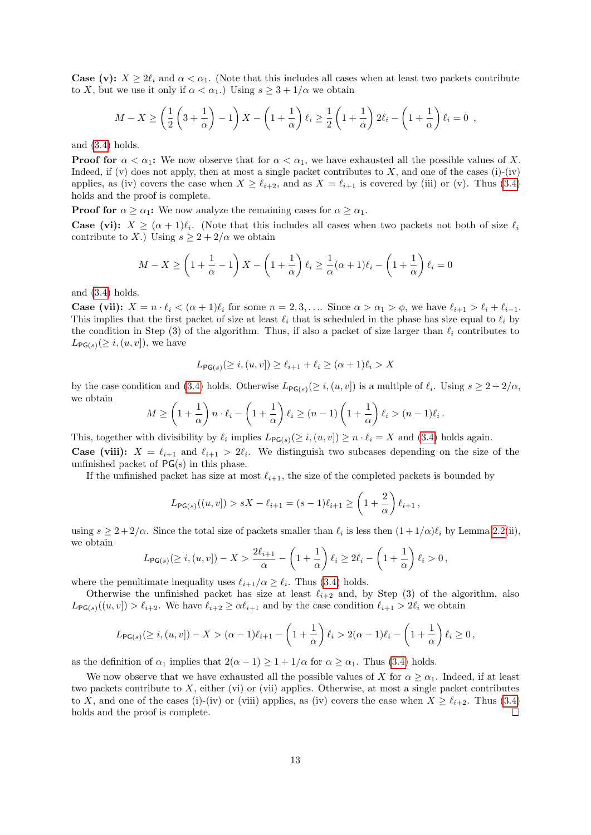**Case (v):**  $X > 2\ell_i$  and  $\alpha < \alpha_1$ . (Note that this includes all cases when at least two packets contribute to X, but we use it only if  $\alpha < \alpha_1$ .) Using  $s \geq 3 + 1/\alpha$  we obtain

$$
M - X \ge \left(\frac{1}{2}\left(3 + \frac{1}{\alpha}\right) - 1\right)X - \left(1 + \frac{1}{\alpha}\right)\ell_i \ge \frac{1}{2}\left(1 + \frac{1}{\alpha}\right)2\ell_i - \left(1 + \frac{1}{\alpha}\right)\ell_i = 0,
$$

and [\(3.4\)](#page-11-1) holds.

**Proof for**  $\alpha < \alpha_1$ : We now observe that for  $\alpha < \alpha_1$ , we have exhausted all the possible values of X. Indeed, if (v) does not apply, then at most a single packet contributes to  $X$ , and one of the cases (i)-(iv) applies, as (iv) covers the case when  $X \geq \ell_{i+2}$ , and as  $X = \ell_{i+1}$  is covered by (iii) or (v). Thus [\(3.4\)](#page-11-1) holds and the proof is complete.

**Proof for**  $\alpha \geq \alpha_1$ : We now analyze the remaining cases for  $\alpha \geq \alpha_1$ .

**Case (vi):**  $X \geq (\alpha + 1)\ell_i$ . (Note that this includes all cases when two packets not both of size  $\ell_i$ contribute to X.) Using  $s \geq 2 + 2/\alpha$  we obtain

$$
M - X \ge \left(1 + \frac{1}{\alpha} - 1\right)X - \left(1 + \frac{1}{\alpha}\right)\ell_i \ge \frac{1}{\alpha}(\alpha + 1)\ell_i - \left(1 + \frac{1}{\alpha}\right)\ell_i = 0
$$

and [\(3.4\)](#page-11-1) holds.

**Case (vii):**  $X = n \cdot \ell_i < (\alpha + 1)\ell_i$  for some  $n = 2, 3, \ldots$  Since  $\alpha > \alpha_1 > \phi$ , we have  $\ell_{i+1} > \ell_i + \ell_{i-1}$ . This implies that the first packet of size at least  $\ell_i$  that is scheduled in the phase has size equal to  $\ell_i$  by the condition in Step (3) of the algorithm. Thus, if also a packet of size larger than  $\ell_i$  contributes to  $L_{\text{PG}(s)}(\geq i,(u,v]),$  we have

$$
L_{\mathsf{PG}(s)}(\geq i,(u,v]) \geq \ell_{i+1} + \ell_i \geq (\alpha+1)\ell_i > X
$$

by the case condition and [\(3.4\)](#page-11-1) holds. Otherwise  $L_{\mathsf{PG}(s)}(\geq i,(u,v])$  is a multiple of  $\ell_i$ . Using  $s \geq 2 + 2/\alpha$ , we obtain

$$
M \ge \left(1 + \frac{1}{\alpha}\right) n \cdot \ell_i - \left(1 + \frac{1}{\alpha}\right) \ell_i \ge (n - 1) \left(1 + \frac{1}{\alpha}\right) \ell_i > (n - 1) \ell_i.
$$

This, together with divisibility by  $\ell_i$  implies  $L_{\mathsf{PG}(s)}(\geq i,(u,v]) \geq n \cdot \ell_i = X$  and [\(3.4\)](#page-11-1) holds again.

**Case (viii):**  $X = \ell_{i+1}$  and  $\ell_{i+1} > 2\ell_i$ . We distinguish two subcases depending on the size of the unfinished packet of PG(s) in this phase.

If the unfinished packet has size at most  $\ell_{i+1}$ , the size of the completed packets is bounded by

$$
L_{\mathsf{PG}(s)}((u, v]) > sX - \ell_{i+1} = (s-1)\ell_{i+1} \ge \left(1 + \frac{2}{\alpha}\right)\ell_{i+1},
$$

using  $s \geq 2 + 2/\alpha$ . Since the total size of packets smaller than  $\ell_i$  is less then  $(1 + 1/\alpha)\ell_i$  by Lemma [2.2\(](#page-6-1)ii), we obtain

$$
L_{\mathsf{PG}(s)}(\geq i,(u,v]) - X > \frac{2\ell_{i+1}}{\alpha} - \left(1 + \frac{1}{\alpha}\right)\ell_i \geq 2\ell_i - \left(1 + \frac{1}{\alpha}\right)\ell_i > 0,
$$

where the penultimate inequality uses  $\ell_{i+1}/\alpha \geq \ell_i$ . Thus [\(3.4\)](#page-11-1) holds.

Otherwise the unfinished packet has size at least  $\ell_{i+2}$  and, by Step (3) of the algorithm, also  $L_{\mathsf{PG}(s)}((u, v]) > \ell_{i+2}$ . We have  $\ell_{i+2} \ge \alpha \ell_{i+1}$  and by the case condition  $\ell_{i+1} > 2\ell_i$  we obtain

$$
L_{\mathsf{PG}(s)}(\geq i,(u,v]) - X > (\alpha - 1)\ell_{i+1} - \left(1 + \frac{1}{\alpha}\right)\ell_i > 2(\alpha - 1)\ell_i - \left(1 + \frac{1}{\alpha}\right)\ell_i \geq 0,
$$

as the definition of  $\alpha_1$  implies that  $2(\alpha - 1) \geq 1 + 1/\alpha$  for  $\alpha \geq \alpha_1$ . Thus [\(3.4\)](#page-11-1) holds.

We now observe that we have exhausted all the possible values of X for  $\alpha \geq \alpha_1$ . Indeed, if at least two packets contribute to  $X$ , either (vi) or (vii) applies. Otherwise, at most a single packet contributes to X, and one of the cases (i)-(iv) or (viii) applies, as (iv) covers the case when  $X \geq \ell_{i+2}$ . Thus [\(3.4\)](#page-11-1) holds and the proof is complete.  $\Box$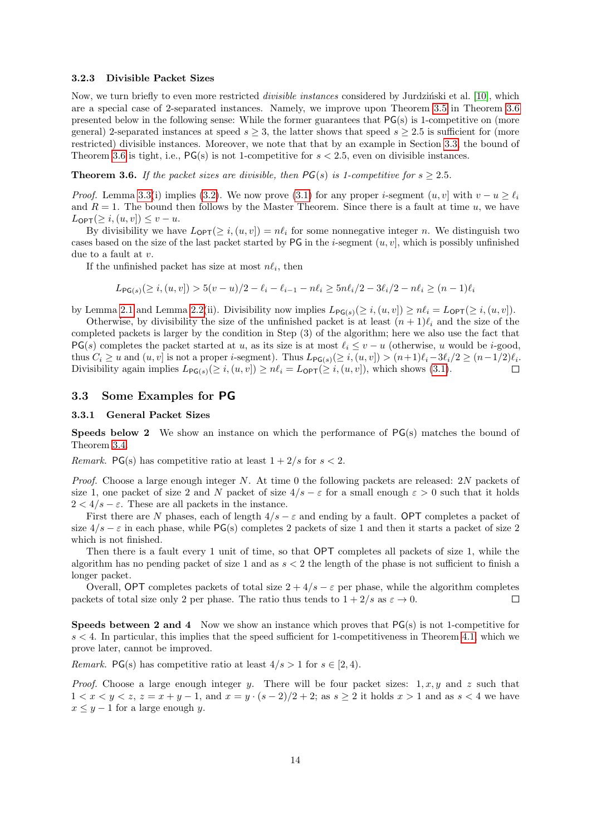#### <span id="page-13-1"></span>3.2.3 Divisible Packet Sizes

Now, we turn briefly to even more restricted *divisible instances* considered by Jurdzinski et al. [\[10\]](#page-29-0), which are a special case of 2-separated instances. Namely, we improve upon Theorem [3.5](#page-11-0) in Theorem [3.6](#page-13-2) presented below in the following sense: While the former guarantees that PG(s) is 1-competitive on (more general) 2-separated instances at speed  $s \geq 3$ , the latter shows that speed  $s \geq 2.5$  is sufficient for (more restricted) divisible instances. Moreover, we note that that by an example in Section [3.3,](#page-13-0) the bound of Theorem [3.6](#page-13-2) is tight, i.e.,  $PG(s)$  is not 1-competitive for  $s < 2.5$ , even on divisible instances.

<span id="page-13-2"></span>**Theorem 3.6.** If the packet sizes are divisible, then  $PG(s)$  is 1-competitive for  $s \geq 2.5$ .

*Proof.* Lemma [3.3\(](#page-0-0)i) implies [\(3.2\)](#page-8-2). We now prove [\(3.1\)](#page-8-1) for any proper *i*-segment  $(u, v]$  with  $v - u \ge \ell_i$ and  $R = 1$ . The bound then follows by the Master Theorem. Since there is a fault at time u, we have  $L_{\text{OPT}}(\geq i,(u,v]) \leq v-u.$ 

By divisibility we have  $L_{\text{OPT}}(\geq i,(u,v]) = n\ell_i$  for some nonnegative integer n. We distinguish two cases based on the size of the last packet started by PG in the *i*-segment  $(u, v]$ , which is possibly unfinished due to a fault at v.

If the unfinished packet has size at most  $n\ell_i$ , then

$$
L_{\mathsf{PG}(s)}(\geq i,(u,v]) > 5(v-u)/2 - \ell_i - \ell_{i-1} - n\ell_i \geq 5n\ell_i/2 - 3\ell_i/2 - n\ell_i \geq (n-1)\ell_i
$$

by Lemma [2.1](#page-6-2) and Lemma [2.2\(](#page-6-1)ii). Divisibility now implies  $L_{PG(s)}(\geq i,(u,v]) \geq n\ell_i = L_{OPT}(\geq i,(u,v])$ .

Otherwise, by divisibility the size of the unfinished packet is at least  $(n + 1)\ell_i$  and the size of the completed packets is larger by the condition in Step (3) of the algorithm; here we also use the fact that  $PG(s)$  completes the packet started at u, as its size is at most  $\ell_i \le v - u$  (otherwise, u would be i-good, thus  $C_i \ge u$  and  $(u, v]$  is not a proper *i*-segment). Thus  $L_{\mathsf{PG}(s)}(\ge i, (u, v]) > (n+1)\ell_i-3\ell_i/2 \ge (n-1/2)\ell_i$ . Divisibility again implies  $L_{\mathsf{PG}(s)}(\geq i,(u,v]) \geq n\ell_i = L_{\mathsf{OPT}}(\geq i,(u,v])$ , which shows [\(3.1\)](#page-8-1).  $\Box$ 

### <span id="page-13-0"></span>3.3 Some Examples for PG

#### 3.3.1 General Packet Sizes

**Speeds below 2** We show an instance on which the performance of  $PG(s)$  matches the bound of Theorem [3.4.](#page-9-0)

*Remark.* PG(s) has competitive ratio at least  $1 + 2/s$  for  $s < 2$ .

Proof. Choose a large enough integer N. At time 0 the following packets are released: 2N packets of size 1, one packet of size 2 and N packet of size  $4/s - \varepsilon$  for a small enough  $\varepsilon > 0$  such that it holds  $2 < 4/s - \varepsilon$ . These are all packets in the instance.

First there are N phases, each of length  $4/s - \varepsilon$  and ending by a fault. OPT completes a packet of size  $4/s - \varepsilon$  in each phase, while PG(s) completes 2 packets of size 1 and then it starts a packet of size 2 which is not finished.

Then there is a fault every 1 unit of time, so that OPT completes all packets of size 1, while the algorithm has no pending packet of size 1 and as  $s < 2$  the length of the phase is not sufficient to finish a longer packet.

Overall, OPT completes packets of total size  $2 + 4/s - \varepsilon$  per phase, while the algorithm completes packets of total size only 2 per phase. The ratio thus tends to  $1 + 2/s$  as  $\varepsilon \to 0$ .  $\Box$ 

**Speeds between 2 and 4** Now we show an instance which proves that  $PG(s)$  is not 1-competitive for  $s < 4$ . In particular, this implies that the speed sufficient for 1-competitiveness in Theorem [4.1,](#page-17-1) which we prove later, cannot be improved.

*Remark.* PG(s) has competitive ratio at least  $4/s > 1$  for  $s \in [2, 4)$ .

*Proof.* Choose a large enough integer y. There will be four packet sizes:  $1, x, y$  and z such that  $1 < x < y < z$ ,  $z = x + y - 1$ , and  $x = y \cdot (s - 2)/2 + 2$ ; as  $s \ge 2$  it holds  $x > 1$  and as  $s < 4$  we have  $x \leq y - 1$  for a large enough y.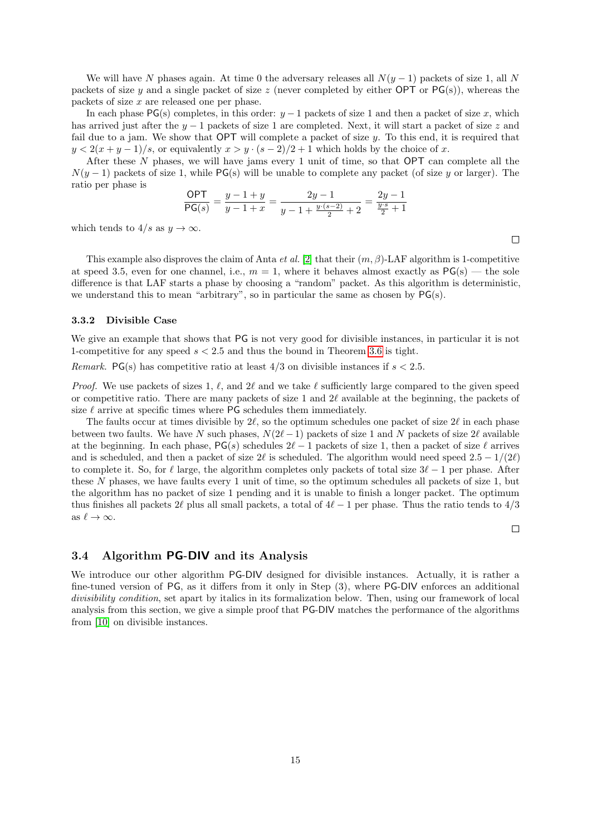We will have N phases again. At time 0 the adversary releases all  $N(y - 1)$  packets of size 1, all N packets of size y and a single packet of size z (never completed by either OPT or  $PG(s)$ ), whereas the packets of size x are released one per phase.

In each phase  $PG(s)$  completes, in this order:  $y - 1$  packets of size 1 and then a packet of size x, which has arrived just after the  $y - 1$  packets of size 1 are completed. Next, it will start a packet of size z and fail due to a jam. We show that OPT will complete a packet of size y. To this end, it is required that  $y < 2(x + y - 1)/s$ , or equivalently  $x > y \cdot (s - 2)/2 + 1$  which holds by the choice of x.

After these  $N$  phases, we will have jams every 1 unit of time, so that OPT can complete all the  $N(y-1)$  packets of size 1, while PG(s) will be unable to complete any packet (of size y or larger). The ratio per phase is

$$
\frac{\mathsf{OPT}}{\mathsf{PG}(s)} = \frac{y - 1 + y}{y - 1 + x} = \frac{2y - 1}{y - 1 + \frac{y \cdot (s - 2)}{2} + 2} = \frac{2y - 1}{\frac{y \cdot s}{2} + 1}
$$

which tends to  $4/s$  as  $y \to \infty$ .

This example also disproves the claim of Anta *et al.* [\[2\]](#page-28-2) that their  $(m, \beta)$ -LAF algorithm is 1-competitive at speed 3.5, even for one channel, i.e.,  $m = 1$ , where it behaves almost exactly as  $PG(s)$  — the sole difference is that LAF starts a phase by choosing a "random" packet. As this algorithm is deterministic, we understand this to mean "arbitrary", so in particular the same as chosen by PG(s).

#### 3.3.2 Divisible Case

We give an example that shows that PG is not very good for divisible instances, in particular it is not 1-competitive for any speed  $s < 2.5$  and thus the bound in Theorem [3.6](#page-13-2) is tight.

*Remark.* PG(s) has competitive ratio at least  $4/3$  on divisible instances if  $s < 2.5$ .

*Proof.* We use packets of sizes 1,  $\ell$ , and 2 $\ell$  and we take  $\ell$  sufficiently large compared to the given speed or competitive ratio. There are many packets of size 1 and 2 $\ell$  available at the beginning, the packets of size  $\ell$  arrive at specific times where PG schedules them immediately.

The faults occur at times divisible by  $2\ell$ , so the optimum schedules one packet of size  $2\ell$  in each phase between two faults. We have N such phases,  $N(2\ell - 1)$  packets of size 1 and N packets of size 2 $\ell$  available at the beginning. In each phase,  $PG(s)$  schedules  $2\ell - 1$  packets of size 1, then a packet of size  $\ell$  arrives and is scheduled, and then a packet of size  $2\ell$  is scheduled. The algorithm would need speed  $2.5 - 1/(2\ell)$ to complete it. So, for  $\ell$  large, the algorithm completes only packets of total size  $3\ell - 1$  per phase. After these N phases, we have faults every 1 unit of time, so the optimum schedules all packets of size 1, but the algorithm has no packet of size 1 pending and it is unable to finish a longer packet. The optimum thus finishes all packets  $2\ell$  plus all small packets, a total of  $4\ell - 1$  per phase. Thus the ratio tends to  $4/3$ as  $\ell \to \infty$ .

 $\Box$ 

#### <span id="page-14-0"></span>3.4 Algorithm PG-DIV and its Analysis

We introduce our other algorithm PG-DIV designed for divisible instances. Actually, it is rather a fine-tuned version of PG, as it differs from it only in Step (3), where PG-DIV enforces an additional divisibility condition, set apart by italics in its formalization below. Then, using our framework of local analysis from this section, we give a simple proof that PG-DIV matches the performance of the algorithms from [\[10\]](#page-29-0) on divisible instances.

 $\Box$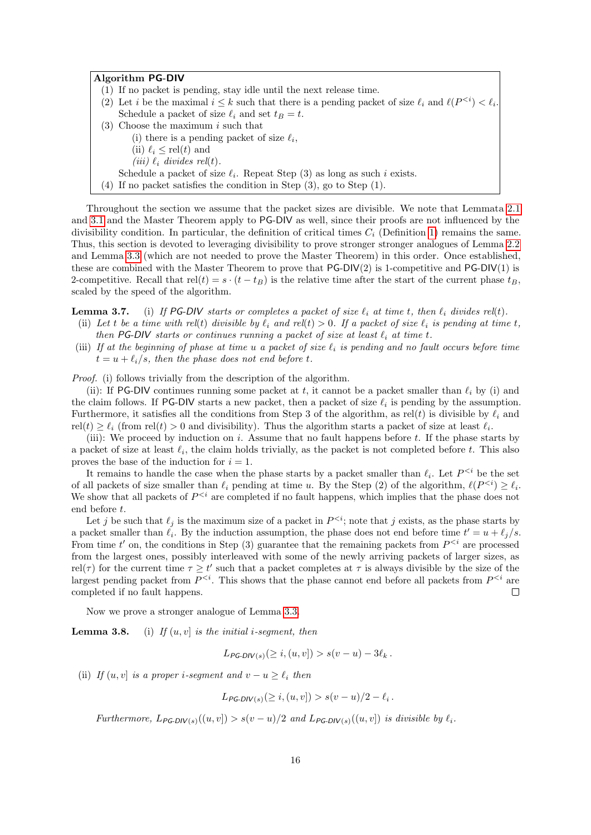#### Algorithm PG-DIV

- (1) If no packet is pending, stay idle until the next release time.
- (2) Let *i* be the maximal  $i \leq k$  such that there is a pending packet of size  $\ell_i$  and  $\ell(P^{< i}) < \ell_i$ . Schedule a packet of size  $\ell_i$  and set  $t_B = t$ .
- (3) Choose the maximum  $i$  such that
	- (i) there is a pending packet of size  $\ell_i$ ,
	- (ii)  $\ell_i \le$  rel(t) and
	- (iii)  $\ell_i$  divides rel(t).
- Schedule a packet of size  $\ell_i$ . Repeat Step (3) as long as such i exists.
- (4) If no packet satisfies the condition in Step (3), go to Step (1).

Throughout the section we assume that the packet sizes are divisible. We note that Lemmata [2.1](#page-6-2) and [3.1](#page-7-1) and the Master Theorem apply to PG-DIV as well, since their proofs are not influenced by the divisibility condition. In particular, the definition of critical times  $C_i$  (Definition [1\)](#page-7-0) remains the same. Thus, this section is devoted to leveraging divisibility to prove stronger stronger analogues of Lemma [2.2](#page-6-1) and Lemma [3.3](#page-0-0) (which are not needed to prove the Master Theorem) in this order. Once established, these are combined with the Master Theorem to prove that  $PG-DIV(2)$  is 1-competitive and  $PG-DIV(1)$  is 2-competitive. Recall that rel(t) =  $s \cdot (t - t_B)$  is the relative time after the start of the current phase  $t_B$ . scaled by the speed of the algorithm.

**Lemma 3.7.** (i) If PG-DIV starts or completes a packet of size  $\ell_i$  at time t, then  $\ell_i$  divides rel(t).

- (ii) Let t be a time with rel(t) divisible by  $\ell_i$  and rel(t) > 0. If a packet of size  $\ell_i$  is pending at time t, then PG-DIV starts or continues running a packet of size at least  $\ell_i$  at time t.
- (iii) If at the beginning of phase at time u a packet of size  $\ell_i$  is pending and no fault occurs before time  $t = u + \ell_i / s$ , then the phase does not end before t.

Proof. (i) follows trivially from the description of the algorithm.

(ii): If PG-DIV continues running some packet at t, it cannot be a packet smaller than  $\ell_i$  by (i) and the claim follows. If PG-DIV starts a new packet, then a packet of size  $\ell_i$  is pending by the assumption. Furthermore, it satisfies all the conditions from Step 3 of the algorithm, as rel(t) is divisible by  $\ell_i$  and  $rel(t) \geq \ell_i$  (from rel(t) > 0 and divisibility). Thus the algorithm starts a packet of size at least  $\ell_i$ .

(iii): We proceed by induction on i. Assume that no fault happens before t. If the phase starts by a packet of size at least  $\ell_i$ , the claim holds trivially, as the packet is not completed before t. This also proves the base of the induction for  $i = 1$ .

It remains to handle the case when the phase starts by a packet smaller than  $\ell_i$ . Let  $P^{ be the set$ of all packets of size smaller than  $\ell_i$  pending at time u. By the Step (2) of the algorithm,  $\ell(P^{< i}) \geq \ell_i$ . We show that all packets of  $P^{&i}$  are completed if no fault happens, which implies that the phase does not end before t.

Let j be such that  $\ell_j$  is the maximum size of a packet in  $P^{; note that j exists, as the phase starts by$ a packet smaller than  $\ell_i$ . By the induction assumption, the phase does not end before time  $t' = u + \ell_j / s$ . From time t' on, the conditions in Step (3) guarantee that the remaining packets from  $P^{&i}$  are processed from the largest ones, possibly interleaved with some of the newly arriving packets of larger sizes, as rel(τ) for the current time  $\tau \geq t'$  such that a packet completes at  $\tau$  is always divisible by the size of the largest pending packet from  $P^{< i}$ . This shows that the phase cannot end before all packets from  $P^{< i}$  are completed if no fault happens.  $\Box$ 

Now we prove a stronger analogue of Lemma [3.3.](#page-0-0)

**Lemma 3.8.** (i) If  $(u, v)$  is the initial *i*-segment, then

 $L_{PG-DIV(s)} (\geq i, (u, v]) > s(v - u) - 3\ell_k$ .

(ii) If  $(u, v)$  is a proper i-segment and  $v - u \geq \ell_i$  then

$$
L_{PG-DIV(s)}(\geq i,(u,v]) > s(v-u)/2 - \ell_i.
$$

Furthermore,  $L_{PG-DIV(s)}((u, v]) > s(v - u)/2$  and  $L_{PG-DIV(s)}((u, v])$  is divisible by  $\ell_i$ .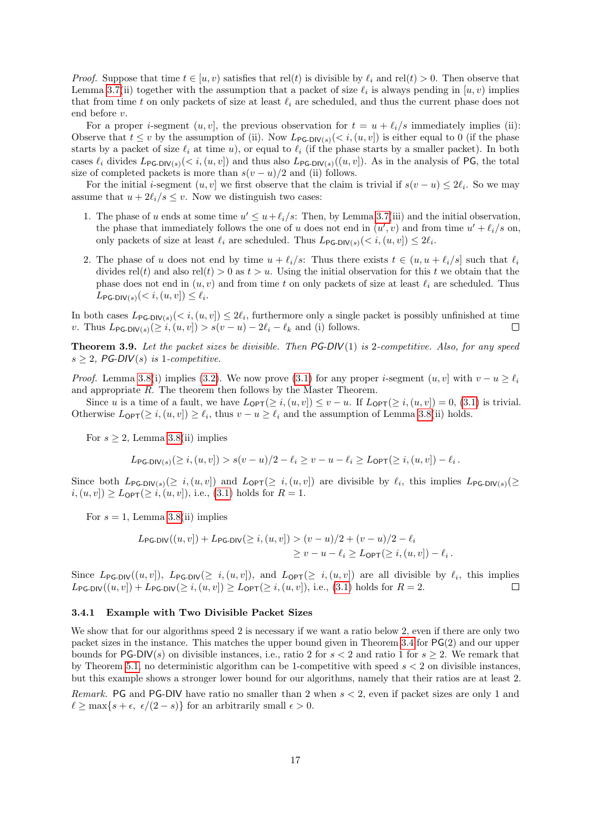*Proof.* Suppose that time  $t \in [u, v)$  satisfies that rel(t) is divisible by  $\ell_i$  and rel(t) > 0. Then observe that Lemma [3.7\(](#page-0-0)ii) together with the assumption that a packet of size  $\ell_i$  is always pending in  $[u, v)$  implies that from time t on only packets of size at least  $\ell_i$  are scheduled, and thus the current phase does not end before v.

For a proper *i*-segment  $(u, v]$ , the previous observation for  $t = u + \ell_i/s$  immediately implies (ii): Observe that  $t \leq v$  by the assumption of (ii). Now  $L_{\mathsf{PG-DIV}(s)}(< i,(u,v))$  is either equal to 0 (if the phase starts by a packet of size  $\ell_i$  at time u), or equal to  $\ell_i$  (if the phase starts by a smaller packet). In both cases  $\ell_i$  divides  $L_{\text{PG-DIV}(s)}(< i,(u, v])$  and thus also  $L_{\text{PG-DIV}(s)}((u, v])$ . As in the analysis of PG, the total size of completed packets is more than  $s(v - u)/2$  and (ii) follows.

For the initial *i*-segment  $(u, v]$  we first observe that the claim is trivial if  $s(v - u) \leq 2\ell_i$ . So we may assume that  $u + 2\ell_i/s \leq v$ . Now we distinguish two cases:

- 1. The phase of u ends at some time  $u' \leq u + \ell_i/s$ : Then, by Lemma [3.7\(](#page-0-0)iii) and the initial observation, the phase that immediately follows the one of u does not end in  $(u', v)$  and from time  $u' + \ell_i / s$  on, only packets of size at least  $\ell_i$  are scheduled. Thus  $L_{\mathsf{PG-DIV}(s)}(< i,(u, v]) \leq 2\ell_i$ .
- 2. The phase of u does not end by time  $u + \ell_i/s$ : Thus there exists  $t \in (u, u + \ell_i/s]$  such that  $\ell_i$ divides rel(t) and also rel(t) > 0 as t > u. Using the initial observation for this t we obtain that the phase does not end in  $(u, v)$  and from time t on only packets of size at least  $\ell_i$  are scheduled. Thus  $L_{\mathsf{PG-DIV}(s)}($

In both cases  $L_{\text{PG-DIV}(s)}(< i,(u,v]) \leq 2\ell_i$ , furthermore only a single packet is possibly unfinished at time v. Thus  $L_{\mathsf{PG-DIV}(s)}(\geq i,(u,v]) > s(v-u) - 2\ell_i - \ell_k$  and (i) follows.

**Theorem 3.9.** Let the packet sizes be divisible. Then  $PG-DIV(1)$  is 2-competitive. Also, for any speed  $s \geq 2$ , PG-DIV(s) is 1-competitive.

*Proof.* Lemma [3.8\(](#page-0-0)i) implies [\(3.2\)](#page-8-2). We now prove [\(3.1\)](#page-8-1) for any proper *i*-segment  $(u, v]$  with  $v - u > \ell_i$ and appropriate R. The theorem then follows by the Master Theorem.

Since u is a time of a fault, we have  $L_{\text{OPT}}(\geq i,(u,v]) \leq v-u$ . If  $L_{\text{OPT}}(\geq i,(u,v]) = 0$ , [\(3.1\)](#page-8-1) is trivial. Otherwise  $L_{\text{OPT}}(\geq i, (u, v]) \geq \ell_i$ , thus  $v - u \geq \ell_i$  and the assumption of Lemma [3.8\(](#page-0-0)ii) holds.

For  $s \geq 2$ , Lemma [3.8\(](#page-0-0)ii) implies

$$
L_{\mathsf{PG-DIV}(s)}(\geq i,(u,v]) > s(v-u)/2 - \ell_i \geq v-u-\ell_i \geq L_{\mathsf{OPT}}(\geq i,(u,v]) - \ell_i.
$$

Since both  $L_{PG-DIV(s)}(\geq i,(u,v])$  and  $L_{OPT}(\geq i,(u,v])$  are divisible by  $\ell_i$ , this implies  $L_{PG-DIV(s)}(\geq i, (u,v])$  $i,(u, v]) \geq L_{\text{OPT}}(\geq i,(u, v]),$  i.e., [\(3.1\)](#page-8-1) holds for  $R = 1$ .

For  $s = 1$ , Lemma [3.8\(](#page-0-0)ii) implies

$$
L_{\mathsf{PG-DIV}}((u,v]) + L_{\mathsf{PG-DIV}}(\geq i, (u,v]) > (v-u)/2 + (v-u)/2 - \ell_i
$$
  

$$
\geq v - u - \ell_i \geq L_{\mathsf{OPT}}(\geq i, (u,v]) - \ell_i.
$$

Since  $L_{\text{PG-DIV}}((u, v]), L_{\text{PG-DIV}}(\geq i, (u, v]), \text{ and } L_{\text{OPT}}(\geq i, (u, v]) \text{ are all divisible by } \ell_i, \text{ this implies}$  $L_{\text{PG-DIV}}((u, v]) + L_{\text{PG-DIV}}(\geq i, (u, v]) \geq L_{\text{OPT}}(\geq i, (u, v]),$  i.e., [\(3.1\)](#page-8-1) holds for  $R = 2$ .  $\Box$ 

#### <span id="page-16-0"></span>3.4.1 Example with Two Divisible Packet Sizes

We show that for our algorithms speed 2 is necessary if we want a ratio below 2, even if there are only two packet sizes in the instance. This matches the upper bound given in Theorem [3.4](#page-9-0) for PG(2) and our upper bounds for PG-DIV(s) on divisible instances, i.e., ratio 2 for  $s < 2$  and ratio 1 for  $s \geq 2$ . We remark that by Theorem [5.1,](#page-22-1) no deterministic algorithm can be 1-competitive with speed  $s < 2$  on divisible instances, but this example shows a stronger lower bound for our algorithms, namely that their ratios are at least 2.

Remark. PG and PG-DIV have ratio no smaller than 2 when s < 2, even if packet sizes are only 1 and  $\ell \ge \max\{s + \epsilon, \ \epsilon/(2 - s)\}\$ for an arbitrarily small  $\epsilon > 0$ .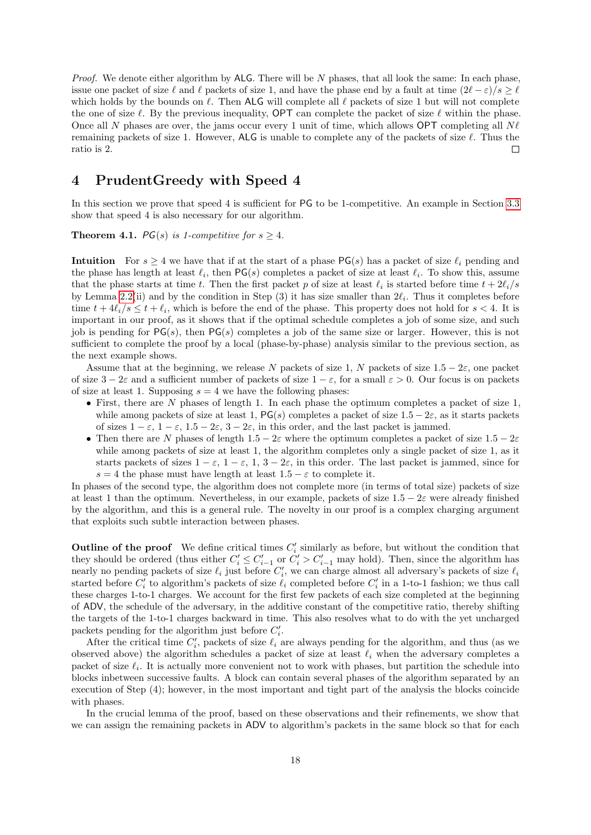*Proof.* We denote either algorithm by ALG. There will be  $N$  phases, that all look the same: In each phase, issue one packet of size  $\ell$  and  $\ell$  packets of size 1, and have the phase end by a fault at time  $(2\ell - \varepsilon)/s > \ell$ which holds by the bounds on  $\ell$ . Then ALG will complete all  $\ell$  packets of size 1 but will not complete the one of size  $\ell$ . By the previous inequality, OPT can complete the packet of size  $\ell$  within the phase. Once all N phases are over, the jams occur every 1 unit of time, which allows OPT completing all  $N\ell$ remaining packets of size 1. However, ALG is unable to complete any of the packets of size  $\ell$ . Thus the ratio is 2.  $\Box$ 

## <span id="page-17-0"></span>4 PrudentGreedy with Speed 4

In this section we prove that speed 4 is sufficient for PG to be 1-competitive. An example in Section [3.3](#page-13-0) show that speed 4 is also necessary for our algorithm.

<span id="page-17-1"></span>**Theorem 4.1.** *PG(s) is 1-competitive for s*  $\geq$  4.

Intuition For  $s \geq 4$  we have that if at the start of a phase PG(s) has a packet of size  $\ell_i$  pending and the phase has length at least  $\ell_i$ , then  $PG(s)$  completes a packet of size at least  $\ell_i$ . To show this, assume that the phase starts at time t. Then the first packet p of size at least  $\ell_i$  is started before time  $t + 2\ell_i/s$ by Lemma [2.2\(](#page-6-1)ii) and by the condition in Step (3) it has size smaller than  $2\ell_i$ . Thus it completes before time  $t + 4\ell_i/s \leq t + \ell_i$ , which is before the end of the phase. This property does not hold for  $s < 4$ . It is important in our proof, as it shows that if the optimal schedule completes a job of some size, and such job is pending for  $PG(s)$ , then  $PG(s)$  completes a job of the same size or larger. However, this is not sufficient to complete the proof by a local (phase-by-phase) analysis similar to the previous section, as the next example shows.

Assume that at the beginning, we release N packets of size 1, N packets of size  $1.5 - 2\varepsilon$ , one packet of size  $3 - 2\varepsilon$  and a sufficient number of packets of size  $1 - \varepsilon$ , for a small  $\varepsilon > 0$ . Our focus is on packets of size at least 1. Supposing  $s = 4$  we have the following phases:

- First, there are N phases of length 1. In each phase the optimum completes a packet of size  $1$ , while among packets of size at least 1,  $PG(s)$  completes a packet of size  $1.5-2\varepsilon$ , as it starts packets of sizes  $1 - \varepsilon$ ,  $1 - \varepsilon$ ,  $1.5 - 2\varepsilon$ ,  $3 - 2\varepsilon$ , in this order, and the last packet is jammed.
- Then there are N phases of length  $1.5 2\varepsilon$  where the optimum completes a packet of size  $1.5 2\varepsilon$ while among packets of size at least 1, the algorithm completes only a single packet of size 1, as it starts packets of sizes  $1 - \varepsilon$ ,  $1 - \varepsilon$ ,  $1$ ,  $3 - 2\varepsilon$ , in this order. The last packet is jammed, since for s = 4 the phase must have length at least  $1.5 - \varepsilon$  to complete it.

In phases of the second type, the algorithm does not complete more (in terms of total size) packets of size at least 1 than the optimum. Nevertheless, in our example, packets of size  $1.5 - 2\varepsilon$  were already finished by the algorithm, and this is a general rule. The novelty in our proof is a complex charging argument that exploits such subtle interaction between phases.

Outline of the proof We define critical times  $C_i'$  similarly as before, but without the condition that they should be ordered (thus either  $C_i' \leq C_{i-1}'$  or  $C_i' > C_{i-1}'$  may hold). Then, since the algorithm has nearly no pending packets of size  $\ell_i$  just before  $C'_i$ , we can charge almost all adversary's packets of size  $\ell_i$ started before  $C_i'$  to algorithm's packets of size  $\ell_i$  completed before  $C_i'$  in a 1-to-1 fashion; we thus call these charges 1-to-1 charges. We account for the first few packets of each size completed at the beginning of ADV, the schedule of the adversary, in the additive constant of the competitive ratio, thereby shifting the targets of the 1-to-1 charges backward in time. This also resolves what to do with the yet uncharged packets pending for the algorithm just before  $C_i^\prime.$ 

After the critical time  $C_i'$ , packets of size  $\ell_i$  are always pending for the algorithm, and thus (as we observed above) the algorithm schedules a packet of size at least  $\ell_i$  when the adversary completes a packet of size  $\ell_i$ . It is actually more convenient not to work with phases, but partition the schedule into blocks inbetween successive faults. A block can contain several phases of the algorithm separated by an execution of Step (4); however, in the most important and tight part of the analysis the blocks coincide with phases.

In the crucial lemma of the proof, based on these observations and their refinements, we show that we can assign the remaining packets in ADV to algorithm's packets in the same block so that for each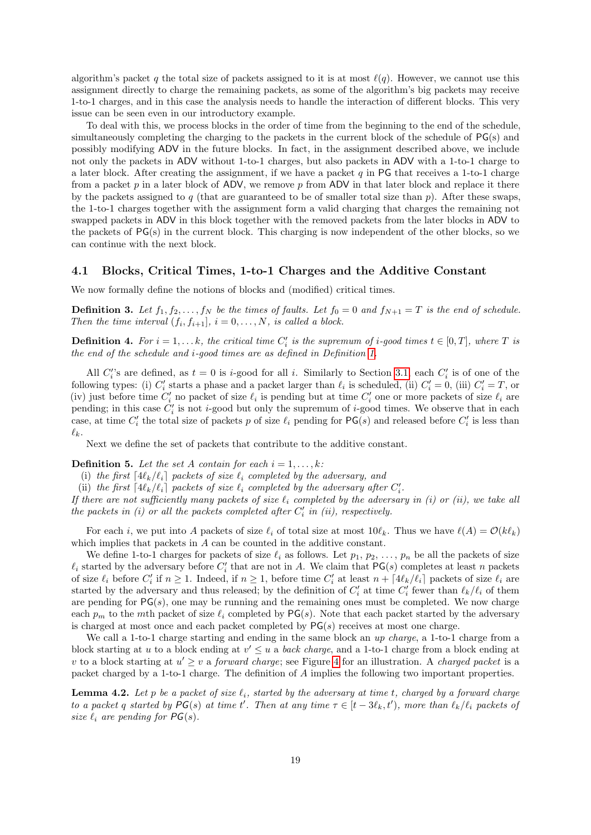algorithm's packet q the total size of packets assigned to it is at most  $\ell(q)$ . However, we cannot use this assignment directly to charge the remaining packets, as some of the algorithm's big packets may receive 1-to-1 charges, and in this case the analysis needs to handle the interaction of different blocks. This very issue can be seen even in our introductory example.

To deal with this, we process blocks in the order of time from the beginning to the end of the schedule, simultaneously completing the charging to the packets in the current block of the schedule of PG(s) and possibly modifying ADV in the future blocks. In fact, in the assignment described above, we include not only the packets in ADV without 1-to-1 charges, but also packets in ADV with a 1-to-1 charge to a later block. After creating the assignment, if we have a packet  $q$  in PG that receives a 1-to-1 charge from a packet  $p$  in a later block of ADV, we remove  $p$  from ADV in that later block and replace it there by the packets assigned to q (that are guaranteed to be of smaller total size than  $p$ ). After these swaps, the 1-to-1 charges together with the assignment form a valid charging that charges the remaining not swapped packets in ADV in this block together with the removed packets from the later blocks in ADV to the packets of PG(s) in the current block. This charging is now independent of the other blocks, so we can continue with the next block.

#### 4.1 Blocks, Critical Times, 1-to-1 Charges and the Additive Constant

We now formally define the notions of blocks and (modified) critical times.

**Definition 3.** Let  $f_1, f_2, \ldots, f_N$  be the times of faults. Let  $f_0 = 0$  and  $f_{N+1} = T$  is the end of schedule. Then the time interval  $(f_i, f_{i+1}], i = 0, \ldots, N$ , is called a block.

**Definition 4.** For  $i = 1, \ldots k$ , the critical time  $C'_i$  is the supremum of i-good times  $t \in [0, T]$ , where T is the end of the schedule and i-good times are as defined in Definition [1.](#page-7-0)

All  $C_i$ 's are defined, as  $t = 0$  is i-good for all i. Similarly to Section [3.1,](#page-7-2) each  $C_i$  is of one of the following types: (i)  $C_i'$  starts a phase and a packet larger than  $\ell_i$  is scheduled, (ii)  $C_i' = 0$ , (iii)  $C_i' = T$ , or (iv) just before time  $C'_i$  no packet of size  $\ell_i$  is pending but at time  $C'_i$  one or more packets of size  $\ell_i$  are pending; in this case  $C_i'$  is not *i*-good but only the supremum of *i*-good times. We observe that in each case, at time  $C_i'$  the total size of packets p of size  $\ell_i$  pending for  $\mathsf{PG}(s)$  and released before  $C_i'$  is less than  $\ell_k$ .

Next we define the set of packets that contribute to the additive constant.

**Definition 5.** Let the set A contain for each  $i = 1, \ldots, k$ :

(i) the first  $[4\ell_k/\ell_i]$  packets of size  $\ell_i$  completed by the adversary, and

(ii) the first  $[4\ell_k/\ell_i]$  packets of size  $\ell_i$  completed by the adversary after  $C'_i$ .

If there are not sufficiently many packets of size  $\ell_i$  completed by the adversary in (i) or (ii), we take all the packets in  $(i)$  or all the packets completed after  $C_i'$  in  $(ii)$ , respectively.

For each i, we put into A packets of size  $\ell_i$  of total size at most  $10\ell_k$ . Thus we have  $\ell(A) = \mathcal{O}(k\ell_k)$ which implies that packets in A can be counted in the additive constant.

We define 1-to-1 charges for packets of size  $\ell_i$  as follows. Let  $p_1, p_2, \ldots, p_n$  be all the packets of size  $\ell_i$  started by the adversary before  $C'_i$  that are not in A. We claim that PG(s) completes at least n packets of size  $\ell_i$  before  $C'_i$  if  $n \geq 1$ . Indeed, if  $n \geq 1$ , before time  $C'_i$  at least  $n + \lceil 4\ell_k/\ell_i \rceil$  packets of size  $\ell_i$  are started by the adversary and thus released; by the definition of  $C_i'$  at time  $C_i'$  fewer than  $\ell_k/\ell_i$  of them are pending for  $PG(s)$ , one may be running and the remaining ones must be completed. We now charge each  $p_m$  to the mth packet of size  $\ell_i$  completed by PG(s). Note that each packet started by the adversary is charged at most once and each packet completed by  $PG(s)$  receives at most one charge.

We call a 1-to-1 charge starting and ending in the same block an up charge, a 1-to-1 charge from a block starting at u to a block ending at  $v' \leq u$  a back charge, and a 1-to-1 charge from a block ending at v to a block starting at  $u' \geq v$  a *forward charge*; see Figure [4](#page-19-0) for an illustration. A *charged packet* is a packet charged by a 1-to-1 charge. The definition of A implies the following two important properties.

<span id="page-18-0"></span>**Lemma 4.2.** Let p be a packet of size  $\ell_i$ , started by the adversary at time t, charged by a forward charge to a packet q started by  $PG(s)$  at time t'. Then at any time  $\tau \in [t-3\ell_k, t')$ , more than  $\ell_k/\ell_i$  packets of size  $\ell_i$  are pending for  $PG(s)$ .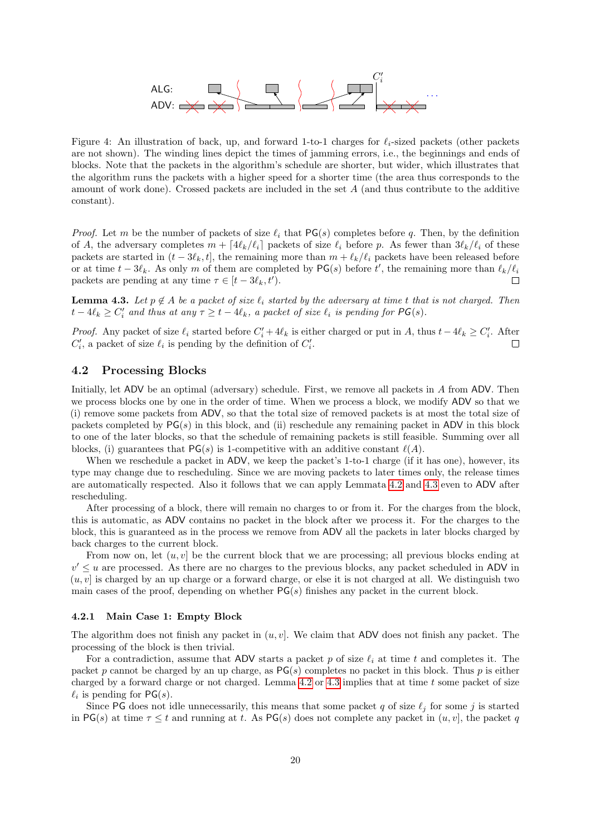

<span id="page-19-0"></span>Figure 4: An illustration of back, up, and forward 1-to-1 charges for  $\ell_i$ -sized packets (other packets are not shown). The winding lines depict the times of jamming errors, i.e., the beginnings and ends of blocks. Note that the packets in the algorithm's schedule are shorter, but wider, which illustrates that the algorithm runs the packets with a higher speed for a shorter time (the area thus corresponds to the amount of work done). Crossed packets are included in the set A (and thus contribute to the additive constant).

*Proof.* Let m be the number of packets of size  $\ell_i$  that PG(s) completes before q. Then, by the definition of A, the adversary completes  $m + \left[4\ell_k/\ell_i\right]$  packets of size  $\ell_i$  before p. As fewer than  $3\ell_k/\ell_i$  of these packets are started in  $(t - 3\ell_k, t]$ , the remaining more than  $m + \ell_k/\ell_i$  packets have been released before or at time  $t - 3\ell_k$ . As only m of them are completed by PG(s) before t', the remaining more than  $\ell_k/\ell_i$ packets are pending at any time  $\tau \in [t - 3\ell_k, t']$ .  $\Box$ 

<span id="page-19-1"></span>**Lemma 4.3.** Let  $p \notin A$  be a packet of size  $\ell_i$  started by the adversary at time t that is not charged. Then  $t - 4\ell_k \geq C'_i$  and thus at any  $\tau \geq t - 4\ell_k$ , a packet of size  $\ell_i$  is pending for  $\mathsf{PG}(s)$ .

*Proof.* Any packet of size  $\ell_i$  started before  $C'_i + 4\ell_k$  is either charged or put in A, thus  $t - 4\ell_k \ge C'_i$ . After  $C'_i$ , a packet of size  $\ell_i$  is pending by the definition of  $C'_i$ . П

## 4.2 Processing Blocks

Initially, let ADV be an optimal (adversary) schedule. First, we remove all packets in A from ADV. Then we process blocks one by one in the order of time. When we process a block, we modify ADV so that we (i) remove some packets from ADV, so that the total size of removed packets is at most the total size of packets completed by  $PG(s)$  in this block, and (ii) reschedule any remaining packet in ADV in this block to one of the later blocks, so that the schedule of remaining packets is still feasible. Summing over all blocks, (i) guarantees that  $PG(s)$  is 1-competitive with an additive constant  $\ell(A)$ .

When we reschedule a packet in ADV, we keep the packet's 1-to-1 charge (if it has one), however, its type may change due to rescheduling. Since we are moving packets to later times only, the release times are automatically respected. Also it follows that we can apply Lemmata [4.2](#page-18-0) and [4.3](#page-19-1) even to ADV after rescheduling.

After processing of a block, there will remain no charges to or from it. For the charges from the block, this is automatic, as ADV contains no packet in the block after we process it. For the charges to the block, this is guaranteed as in the process we remove from ADV all the packets in later blocks charged by back charges to the current block.

From now on, let  $(u, v)$  be the current block that we are processing; all previous blocks ending at  $v' \leq u$  are processed. As there are no charges to the previous blocks, any packet scheduled in ADV in  $(u, v)$  is charged by an up charge or a forward charge, or else it is not charged at all. We distinguish two main cases of the proof, depending on whether  $PG(s)$  finishes any packet in the current block.

#### 4.2.1 Main Case 1: Empty Block

The algorithm does not finish any packet in  $(u, v]$ . We claim that ADV does not finish any packet. The processing of the block is then trivial.

For a contradiction, assume that ADV starts a packet p of size  $\ell_i$  at time t and completes it. The packet p cannot be charged by an up charge, as  $PG(s)$  completes no packet in this block. Thus p is either charged by a forward charge or not charged. Lemma  $4.2$  or  $4.3$  implies that at time t some packet of size  $\ell_i$  is pending for  $PG(s)$ .

Since PG does not idle unnecessarily, this means that some packet q of size  $\ell_j$  for some j is started in PG(s) at time  $\tau \leq t$  and running at t. As PG(s) does not complete any packet in  $(u, v]$ , the packet q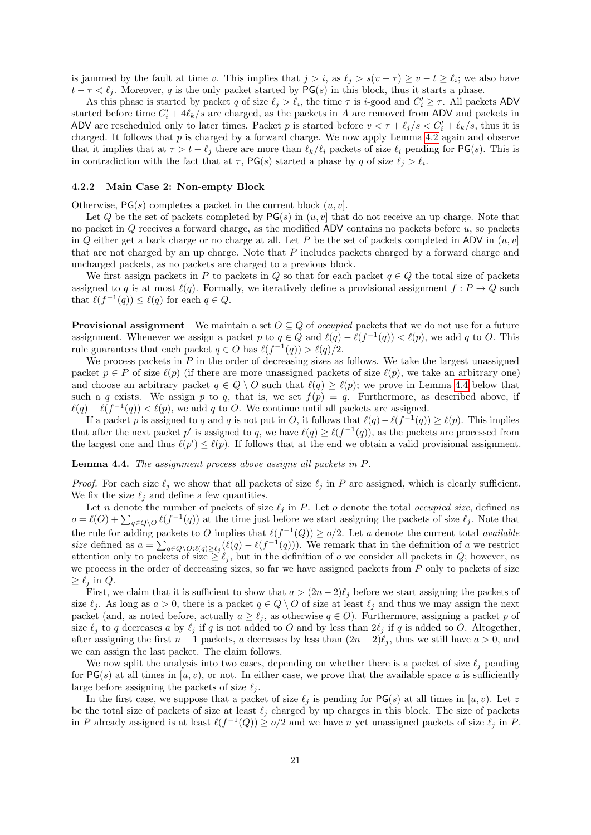is jammed by the fault at time v. This implies that  $j > i$ , as  $\ell_j > s(v - \tau) \ge v - t \ge \ell_i$ ; we also have  $t - \tau < \ell_j$ . Moreover, q is the only packet started by PG(s) in this block, thus it starts a phase.

As this phase is started by packet q of size  $\ell_j > \ell_i$ , the time  $\tau$  is i-good and  $C_i' \geq \tau$ . All packets ADV started before time  $C_i' + 4\ell_k/s$  are charged, as the packets in A are removed from ADV and packets in ADV are rescheduled only to later times. Packet p is started before  $v < \tau + \ell_j / s < C'_i + \ell_k / s$ , thus it is charged. It follows that  $p$  is charged by a forward charge. We now apply Lemma [4.2](#page-18-0) again and observe that it implies that at  $\tau > t - \ell_i$  there are more than  $\ell_k/\ell_i$  packets of size  $\ell_i$  pending for PG(s). This is in contradiction with the fact that at  $\tau$ , PG(s) started a phase by q of size  $\ell_j > \ell_i$ .

#### 4.2.2 Main Case 2: Non-empty Block

Otherwise,  $PG(s)$  completes a packet in the current block  $(u, v]$ .

Let Q be the set of packets completed by  $PG(s)$  in  $(u, v]$  that do not receive an up charge. Note that no packet in Q receives a forward charge, as the modified ADV contains no packets before u, so packets in Q either get a back charge or no charge at all. Let P be the set of packets completed in ADV in  $(u, v]$ that are not charged by an up charge. Note that P includes packets charged by a forward charge and uncharged packets, as no packets are charged to a previous block.

We first assign packets in P to packets in Q so that for each packet  $q \in Q$  the total size of packets assigned to q is at most  $\ell(q)$ . Formally, we iteratively define a provisional assignment  $f : P \to Q$  such that  $\ell(f^{-1}(q)) \leq \ell(q)$  for each  $q \in Q$ .

**Provisional assignment** We maintain a set  $O \subseteq Q$  of *occupied* packets that we do not use for a future assignment. Whenever we assign a packet p to  $q \in Q$  and  $\ell(q) - \ell(f^{-1}(q)) < \ell(p)$ , we add q to O. This rule guarantees that each packet  $q \in O$  has  $\ell(f^{-1}(q)) > \ell(q)/2$ .

We process packets in  $P$  in the order of decreasing sizes as follows. We take the largest unassigned packet  $p \in P$  of size  $\ell(p)$  (if there are more unassigned packets of size  $\ell(p)$ , we take an arbitrary one) and choose an arbitrary packet  $q \in Q \setminus O$  such that  $\ell(q) \geq \ell(p)$ ; we prove in Lemma [4.4](#page-20-0) below that such a q exists. We assign p to q, that is, we set  $f(p) = q$ . Furthermore, as described above, if  $\ell(q) - \ell(f^{-1}(q)) < \ell(p)$ , we add q to O. We continue until all packets are assigned.

If a packet p is assigned to q and q is not put in O, it follows that  $\ell(q) - \ell(f^{-1}(q)) \ge \ell(p)$ . This implies that after the next packet p' is assigned to q, we have  $\ell(q) \geq \ell(f^{-1}(q))$ , as the packets are processed from the largest one and thus  $\ell(p') \leq \ell(p)$ . If follows that at the end we obtain a valid provisional assignment.

<span id="page-20-0"></span>Lemma 4.4. The assignment process above assigns all packets in P.

*Proof.* For each size  $\ell_j$  we show that all packets of size  $\ell_j$  in P are assigned, which is clearly sufficient. We fix the size  $\ell_j$  and define a few quantities.

Let n denote the number of packets of size  $\ell_j$  in P. Let o denote the total occupied size, defined as  $o = \ell(O) + \sum_{q \in Q \setminus O} \ell(f^{-1}(q))$  at the time just before we start assigning the packets of size  $\ell_j$ . Note that the rule for adding packets to O implies that  $\ell(f^{-1}(Q)) \geq o/2$ . Let a denote the current total available size defined as  $a = \sum_{q \in Q \setminus O:\ell(q) \geq \ell_j} (\ell(q) - \ell(f^{-1}(q)))$ . We remark that in the definition of a we restrict attention only to packets of size  $\geq \ell_j$ , but in the definition of o we consider all packets in Q; however, as we process in the order of decreasing sizes, so far we have assigned packets from  $P$  only to packets of size  $\geq \ell_i$  in Q.

First, we claim that it is sufficient to show that  $a > (2n-2)\ell_j$  before we start assigning the packets of size  $\ell_j$ . As long as  $a > 0$ , there is a packet  $q \in Q \setminus O$  of size at least  $\ell_j$  and thus we may assign the next packet (and, as noted before, actually  $a \geq \ell_j$ , as otherwise  $q \in O$ ). Furthermore, assigning a packet p of size  $\ell_j$  to q decreases a by  $\ell_j$  if q is not added to O and by less than  $2\ell_j$  if q is added to O. Altogether, after assigning the first  $n - 1$  packets, a decreases by less than  $(2n - 2)\ell_j$ , thus we still have  $a > 0$ , and we can assign the last packet. The claim follows.

We now split the analysis into two cases, depending on whether there is a packet of size  $\ell_i$  pending for  $PG(s)$  at all times in  $[u, v)$ , or not. In either case, we prove that the available space a is sufficiently large before assigning the packets of size  $\ell_i$ .

In the first case, we suppose that a packet of size  $\ell_j$  is pending for PG(s) at all times in [u, v). Let z be the total size of packets of size at least  $\ell_i$  charged by up charges in this block. The size of packets in P already assigned is at least  $\ell(f^{-1}(Q)) \geq o/2$  and we have n yet unassigned packets of size  $\ell_j$  in P.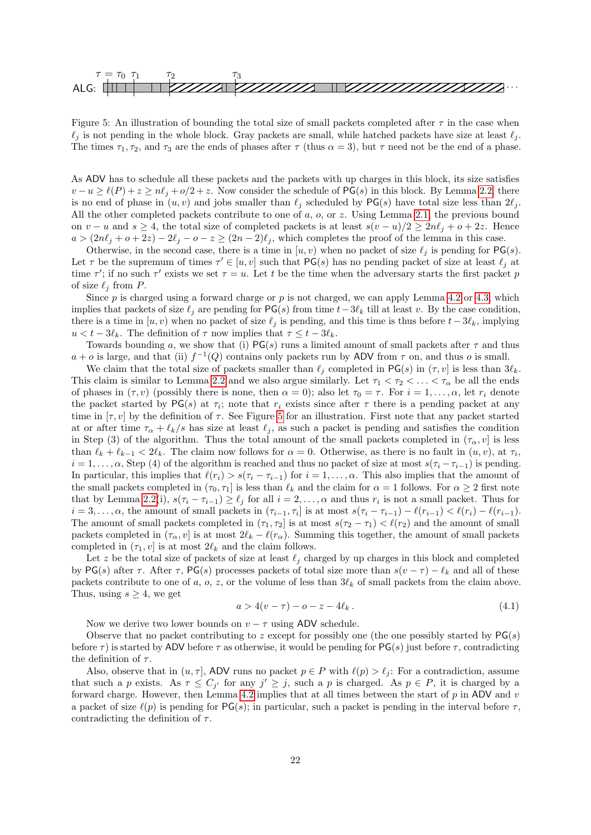

<span id="page-21-0"></span>Figure 5: An illustration of bounding the total size of small packets completed after  $\tau$  in the case when  $\ell_i$  is not pending in the whole block. Gray packets are small, while hatched packets have size at least  $\ell_i$ . The times  $\tau_1, \tau_2$ , and  $\tau_3$  are the ends of phases after  $\tau$  (thus  $\alpha = 3$ ), but  $\tau$  need not be the end of a phase.

As ADV has to schedule all these packets and the packets with up charges in this block, its size satisfies  $v - u \ge \ell(P) + z \ge n\ell_j + o/2 + z$ . Now consider the schedule of PG(s) in this block. By Lemma [2.2,](#page-6-1) there is no end of phase in  $(u, v)$  and jobs smaller than  $\ell_j$  scheduled by PG(s) have total size less than  $2\ell_j$ . All the other completed packets contribute to one of a, o, or z. Using Lemma [2.1,](#page-6-2) the previous bound on v − u and s ≥ 4, the total size of completed packets is at least  $s(v - u)/2 \geq 2n\ell_j + o + 2z$ . Hence  $a > (2n\ell_j + o + 2z) - 2\ell_j - o - z \geq (2n - 2)\ell_j$ , which completes the proof of the lemma in this case.

Otherwise, in the second case, there is a time in  $[u, v)$  when no packet of size  $\ell_j$  is pending for PG(s). Let  $\tau$  be the supremum of times  $\tau' \in [u, v]$  such that PG(s) has no pending packet of size at least  $\ell_j$  at time  $\tau'$ ; if no such  $\tau'$  exists we set  $\tau = u$ . Let t be the time when the adversary starts the first packet p of size  $\ell_i$  from P.

Since  $p$  is charged using a forward charge or  $p$  is not charged, we can apply Lemma [4.2](#page-18-0) or [4.3,](#page-19-1) which implies that packets of size  $\ell_j$  are pending for PG(s) from time  $t-3\ell_k$  till at least v. By the case condition, there is a time in  $[u, v]$  when no packet of size  $\ell_i$  is pending, and this time is thus before  $t - 3\ell_k$ , implying  $u < t - 3\ell_k$ . The definition of  $\tau$  now implies that  $\tau \leq t - 3\ell_k$ .

Towards bounding a, we show that (i)  $PG(s)$  runs a limited amount of small packets after  $\tau$  and thus  $a + o$  is large, and that (ii)  $f^{-1}(Q)$  contains only packets run by ADV from  $\tau$  on, and thus o is small.

We claim that the total size of packets smaller than  $\ell_i$  completed in PG(s) in  $(\tau, v]$  is less than  $3\ell_k$ . This claim is similar to Lemma [2.2](#page-6-1) and we also argue similarly. Let  $\tau_1 < \tau_2 < \ldots < \tau_\alpha$  be all the ends of phases in  $(\tau, v)$  (possibly there is none, then  $\alpha = 0$ ); also let  $\tau_0 = \tau$ . For  $i = 1, \ldots, \alpha$ , let  $r_i$  denote the packet started by  $PG(s)$  at  $\tau_i$ ; note that  $r_i$  exists since after  $\tau$  there is a pending packet at any time in  $[\tau, v]$  by the definition of  $\tau$ . See Figure [5](#page-21-0) for an illustration. First note that any packet started at or after time  $\tau_{\alpha} + \ell_{k}/s$  has size at least  $\ell_{j}$ , as such a packet is pending and satisfies the condition in Step (3) of the algorithm. Thus the total amount of the small packets completed in  $(\tau_{\alpha}, v]$  is less than  $\ell_k + \ell_{k-1} < 2\ell_k$ . The claim now follows for  $\alpha = 0$ . Otherwise, as there is no fault in  $(u, v)$ , at  $\tau_i$ ,  $i = 1, \ldots, \alpha$ , Step (4) of the algorithm is reached and thus no packet of size at most  $s(\tau_i - \tau_{i-1})$  is pending. In particular, this implies that  $\ell(r_i) > s(\tau_i - \tau_{i-1})$  for  $i = 1, \ldots, \alpha$ . This also implies that the amount of the small packets completed in  $(\tau_0, \tau_1]$  is less than  $\ell_k$  and the claim for  $\alpha = 1$  follows. For  $\alpha \geq 2$  first note that by Lemma [2.2\(](#page-6-1)i),  $s(\tau_i - \tau_{i-1}) \geq \ell_j$  for all  $i = 2, ..., \alpha$  and thus  $r_i$  is not a small packet. Thus for  $i = 3, \ldots, \alpha$ , the amount of small packets in  $(\tau_{i-1}, \tau_i]$  is at most  $s(\tau_i - \tau_{i-1}) - \ell(r_{i-1}) < \ell(r_i) - \ell(r_{i-1})$ . The amount of small packets completed in  $(\tau_1, \tau_2]$  is at most  $s(\tau_2 - \tau_1) < \ell(r_2)$  and the amount of small packets completed in  $(\tau_{\alpha}, v]$  is at most  $2\ell_k - \ell(r_{\alpha})$ . Summing this together, the amount of small packets completed in  $(\tau_1, v)$  is at most  $2\ell_k$  and the claim follows.

Let z be the total size of packets of size at least  $\ell_i$  charged by up charges in this block and completed by PG(s) after  $\tau$ . After  $\tau$ , PG(s) processes packets of total size more than  $s(v - \tau) - \ell_k$  and all of these packets contribute to one of a, o, z, or the volume of less than  $3\ell_k$  of small packets from the claim above. Thus, using  $s \geq 4$ , we get

<span id="page-21-1"></span>
$$
a > 4(v - \tau) - o - z - 4\ell_k. \tag{4.1}
$$

Now we derive two lower bounds on  $v - \tau$  using ADV schedule.

Observe that no packet contributing to z except for possibly one (the one possibly started by  $PG(s)$ ) before  $\tau$ ) is started by ADV before  $\tau$  as otherwise, it would be pending for PG(s) just before  $\tau$ , contradicting the definition of  $\tau$ .

Also, observe that in  $(u, \tau]$ , ADV runs no packet  $p \in P$  with  $\ell(p) > \ell_j$ : For a contradiction, assume that such a p exists. As  $\tau \leq C_{j'}$  for any  $j' \geq j$ , such a p is charged. As  $p \in P$ , it is charged by a forward charge. However, then Lemma [4.2](#page-18-0) implies that at all times between the start of  $p$  in ADV and  $v$ a packet of size  $\ell(p)$  is pending for PG(s); in particular, such a packet is pending in the interval before  $\tau$ , contradicting the definition of  $\tau$ .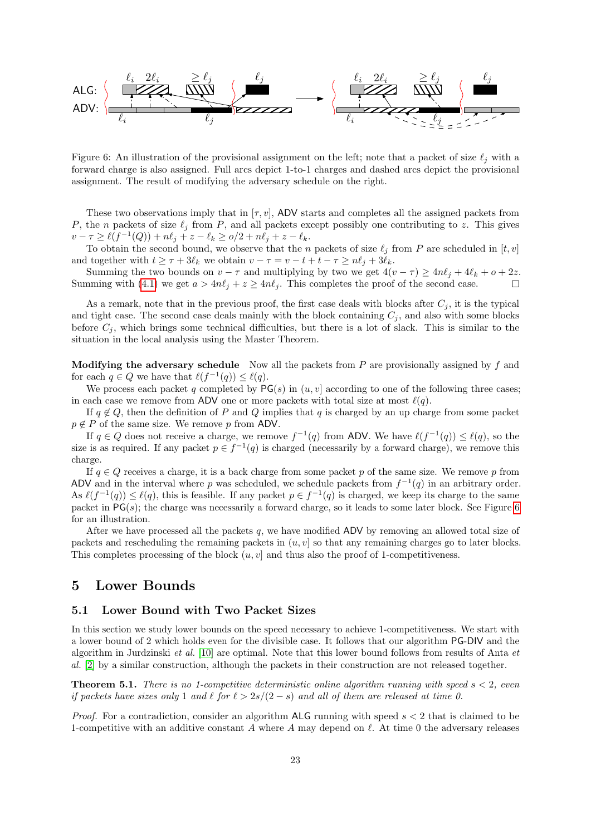

<span id="page-22-2"></span>Figure 6: An illustration of the provisional assignment on the left; note that a packet of size  $\ell_i$  with a forward charge is also assigned. Full arcs depict 1-to-1 charges and dashed arcs depict the provisional assignment. The result of modifying the adversary schedule on the right.

These two observations imply that in  $[\tau, v]$ , ADV starts and completes all the assigned packets from P, the n packets of size  $\ell_j$  from P, and all packets except possibly one contributing to z. This gives  $v - \tau \ge \ell(f^{-1}(Q)) + n\ell_j + z - \ell_k \ge o/2 + n\ell_j + z - \ell_k.$ 

To obtain the second bound, we observe that the n packets of size  $\ell_j$  from P are scheduled in  $[t, v]$ and together with  $t \geq \tau + 3\ell_k$  we obtain  $v - \tau = v - t + t - \tau \geq n\ell_i + 3\ell_k$ .

Summing the two bounds on  $v - \tau$  and multiplying by two we get  $4(v - \tau) \ge 4n\ell_j + 4\ell_k + o + 2z$ . Summing with [\(4.1\)](#page-21-1) we get  $a > 4n\ell_j + z \ge 4n\ell_j$ . This completes the proof of the second case.

As a remark, note that in the previous proof, the first case deals with blocks after  $C_i$ , it is the typical and tight case. The second case deals mainly with the block containing  $C_i$ , and also with some blocks before  $C_j$ , which brings some technical difficulties, but there is a lot of slack. This is similar to the situation in the local analysis using the Master Theorem.

**Modifying the adversary schedule** Now all the packets from  $P$  are provisionally assigned by  $f$  and for each  $q \in Q$  we have that  $\ell(f^{-1}(q)) \leq \ell(q)$ .

We process each packet q completed by  $PG(s)$  in  $(u, v]$  according to one of the following three cases; in each case we remove from ADV one or more packets with total size at most  $\ell(q)$ .

If  $q \notin Q$ , then the definition of P and Q implies that q is charged by an up charge from some packet  $p \notin P$  of the same size. We remove p from ADV.

If  $q \in Q$  does not receive a charge, we remove  $f^{-1}(q)$  from ADV. We have  $\ell(f^{-1}(q)) \leq \ell(q)$ , so the size is as required. If any packet  $p \in f^{-1}(q)$  is charged (necessarily by a forward charge), we remove this charge.

If  $q \in Q$  receives a charge, it is a back charge from some packet p of the same size. We remove p from ADV and in the interval where p was scheduled, we schedule packets from  $f^{-1}(q)$  in an arbitrary order. As  $\ell(f^{-1}(q)) \leq \ell(q)$ , this is feasible. If any packet  $p \in f^{-1}(q)$  is charged, we keep its charge to the same packet in  $PG(s)$ ; the charge was necessarily a forward charge, so it leads to some later block. See Figure [6](#page-22-2) for an illustration.

After we have processed all the packets  $q$ , we have modified ADV by removing an allowed total size of packets and rescheduling the remaining packets in  $(u, v)$  so that any remaining charges go to later blocks. This completes processing of the block  $(u, v]$  and thus also the proof of 1-competitiveness.

## <span id="page-22-0"></span>5 Lower Bounds

### 5.1 Lower Bound with Two Packet Sizes

In this section we study lower bounds on the speed necessary to achieve 1-competitiveness. We start with a lower bound of 2 which holds even for the divisible case. It follows that our algorithm PG-DIV and the algorithm in Jurdzinski et al. [\[10\]](#page-29-0) are optimal. Note that this lower bound follows from results of Anta et al. [\[2\]](#page-28-2) by a similar construction, although the packets in their construction are not released together.

<span id="page-22-1"></span>**Theorem 5.1.** There is no 1-competitive deterministic online algorithm running with speed  $s < 2$ , even if packets have sizes only 1 and  $\ell$  for  $\ell > 2s/(2 - s)$  and all of them are released at time 0.

*Proof.* For a contradiction, consider an algorithm ALG running with speed  $s < 2$  that is claimed to be 1-competitive with an additive constant A where A may depend on  $\ell$ . At time 0 the adversary releases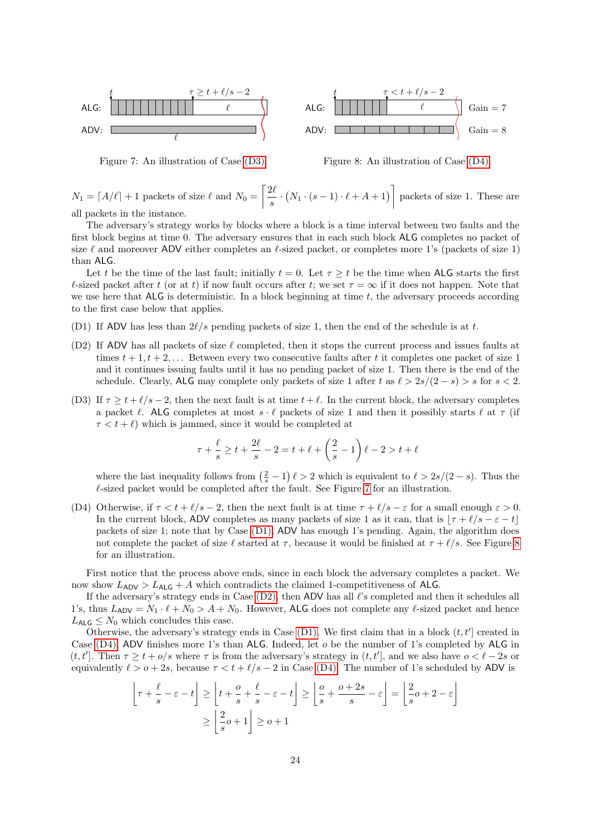

<span id="page-23-2"></span>Figure 7: An illustration of Case [\(D3\).](#page-23-0)



<span id="page-23-4"></span>Figure 8: An illustration of Case [\(D4\).](#page-23-1)

 $N_1 = \lfloor A/\ell \rfloor + 1$  packets of size  $\ell$  and  $N_0 = \lceil \frac{2\ell}{\ell} \rceil$  $\frac{2\ell}{s} \cdot (N_1 \cdot (s-1) \cdot \ell + A + 1)$  packets of size 1. These are

all packets in the instance.

The adversary's strategy works by blocks where a block is a time interval between two faults and the first block begins at time 0. The adversary ensures that in each such block ALG completes no packet of size  $\ell$  and moreover ADV either completes an  $\ell$ -sized packet, or completes more 1's (packets of size 1) than ALG.

Let t be the time of the last fault; initially  $t = 0$ . Let  $\tau \geq t$  be the time when ALG starts the first  $\ell$ -sized packet after t (or at t) if now fault occurs after t; we set  $\tau = \infty$  if it does not happen. Note that we use here that  $ALG$  is deterministic. In a block beginning at time t, the adversary proceeds according to the first case below that applies.

- <span id="page-23-3"></span>(D1) If ADV has less than  $2\ell/s$  pending packets of size 1, then the end of the schedule is at t.
- <span id="page-23-5"></span>(D2) If ADV has all packets of size  $\ell$  completed, then it stops the current process and issues faults at times  $t + 1, t + 2, \ldots$  Between every two consecutive faults after t it completes one packet of size 1 and it continues issuing faults until it has no pending packet of size 1. Then there is the end of the schedule. Clearly, ALG may complete only packets of size 1 after t as  $\ell > 2s/(2 - s) > s$  for  $s < 2$ .
- <span id="page-23-0"></span>(D3) If  $\tau \geq t + \ell/s - 2$ , then the next fault is at time  $t + \ell$ . In the current block, the adversary completes a packet  $\ell$ . ALG completes at most  $s \cdot \ell$  packets of size 1 and then it possibly starts  $\ell$  at  $\tau$  (if  $\tau < t + \ell$ ) which is jammed, since it would be completed at

$$
\tau + \frac{\ell}{s} \ge t + \frac{2\ell}{s} - 2 = t + \ell + \left(\frac{2}{s} - 1\right)\ell - 2 > t + \ell
$$

where the last inequality follows from  $(\frac{2}{s} - 1) \ell > 2$  which is equivalent to  $\ell > 2s/(2 - s)$ . Thus the  $\ell$ -sized packet would be completed after the fault. See Figure [7](#page-23-2) for an illustration.

<span id="page-23-1"></span>(D4) Otherwise, if  $\tau < t + \ell/s - 2$ , then the next fault is at time  $\tau + \ell/s - \varepsilon$  for a small enough  $\varepsilon > 0$ . In the current block, ADV completes as many packets of size 1 as it can, that is  $|\tau + \ell/s - \epsilon - t|$ packets of size 1; note that by Case [\(D1\),](#page-23-3) ADV has enough 1's pending. Again, the algorithm does not complete the packet of size  $\ell$  started at  $\tau$ , because it would be finished at  $\tau + \ell/s$ . See Figure [8](#page-23-4) for an illustration.

First notice that the process above ends, since in each block the adversary completes a packet. We now show  $L_{\text{ADV}} > L_{\text{ALG}} + A$  which contradicts the claimed 1-competitiveness of ALG.

If the adversary's strategy ends in Case  $(D2)$ , then ADV has all  $\ell$ 's completed and then it schedules all 1's, thus  $L_{ADV} = N_1 \cdot \ell + N_0 > A + N_0$ . However, ALG does not complete any  $\ell$ -sized packet and hence  $L_{\text{ALG}} \leq N_0$  which concludes this case.

Otherwise, the adversary's strategy ends in Case [\(D1\).](#page-23-3) We first claim that in a block  $(t, t']$  created in Case [\(D4\),](#page-23-1) ADV finishes more 1's than ALG. Indeed, let o be the number of 1's completed by ALG in  $(t, t']$ . Then  $\tau \geq t + o/s$  where  $\tau$  is from the adversary's strategy in  $(t, t']$ , and we also have  $o < \ell - 2s$  or equivalently  $\ell > o + 2s$ , because  $\tau < t + \ell/s - 2$  in Case [\(D4\).](#page-23-1) The number of 1's scheduled by ADV is

$$
\left\lfloor \tau + \frac{\ell}{s} - \varepsilon - t \right\rfloor \ge \left\lfloor t + \frac{o}{s} + \frac{\ell}{s} - \varepsilon - t \right\rfloor \ge \left\lfloor \frac{o}{s} + \frac{o + 2s}{s} - \varepsilon \right\rfloor = \left\lfloor \frac{2}{s}o + 2 - \varepsilon \right\rfloor
$$

$$
\ge \left\lfloor \frac{2}{s}o + 1 \right\rfloor \ge o + 1
$$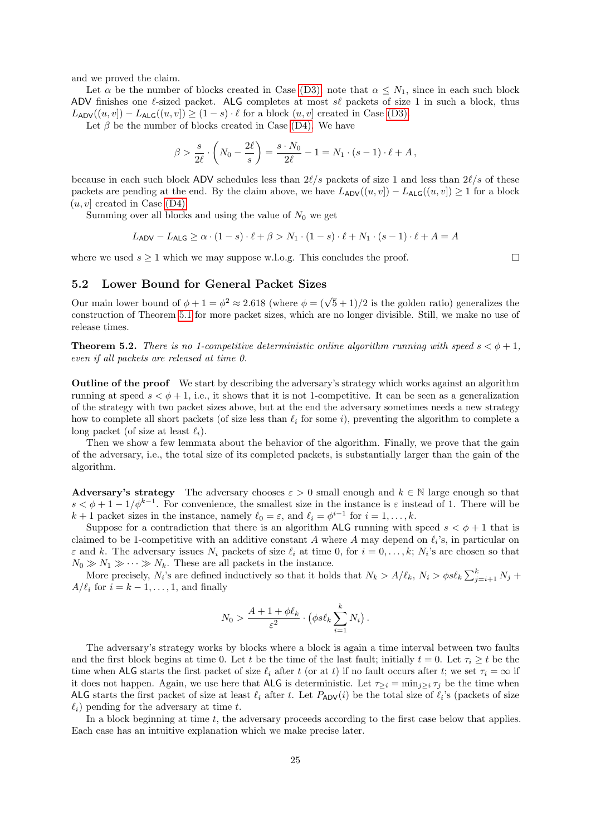and we proved the claim.

Let  $\alpha$  be the number of blocks created in Case [\(D3\);](#page-23-0) note that  $\alpha \leq N_1$ , since in each such block ADV finishes one  $\ell$ -sized packet. ALG completes at most  $s\ell$  packets of size 1 in such a block, thus  $L_{\text{ADV}}((u, v]) - L_{\text{ALG}}((u, v]) \ge (1 - s) \cdot \ell$  for a block  $(u, v]$  created in Case [\(D3\).](#page-23-0)

Let  $\beta$  be the number of blocks created in Case [\(D4\).](#page-23-1) We have

$$
\beta > \frac{s}{2\ell} \cdot \left( N_0 - \frac{2\ell}{s} \right) = \frac{s \cdot N_0}{2\ell} - 1 = N_1 \cdot (s - 1) \cdot \ell + A,
$$

because in each such block ADV schedules less than  $2\ell/s$  packets of size 1 and less than  $2\ell/s$  of these packets are pending at the end. By the claim above, we have  $L_{ADV}((u, v)) - L_{ALG}((u, v)) \ge 1$  for a block  $(u, v]$  created in Case [\(D4\).](#page-23-1)

Summing over all blocks and using the value of  $N_0$  we get

$$
L_{\mathsf{ADV}} - L_{\mathsf{ALG}} \ge \alpha \cdot (1 - s) \cdot \ell + \beta > N_1 \cdot (1 - s) \cdot \ell + N_1 \cdot (s - 1) \cdot \ell + A = A
$$

where we used  $s \geq 1$  which we may suppose w.l.o.g. This concludes the proof.

 $\Box$ 

## 5.2 Lower Bound for General Packet Sizes

Our main lower bound of  $\phi + 1 = \phi^2 \approx 2.618$  (where  $\phi = (\sqrt{5} + 1)/2$  is the golden ratio) generalizes the construction of Theorem [5.1](#page-22-1) for more packet sizes, which are no longer divisible. Still, we make no use of release times.

<span id="page-24-0"></span>**Theorem 5.2.** There is no 1-competitive deterministic online algorithm running with speed  $s < \phi + 1$ , even if all packets are released at time 0.

Outline of the proof We start by describing the adversary's strategy which works against an algorithm running at speed  $s < \phi + 1$ , i.e., it shows that it is not 1-competitive. It can be seen as a generalization of the strategy with two packet sizes above, but at the end the adversary sometimes needs a new strategy how to complete all short packets (of size less than  $\ell_i$  for some i), preventing the algorithm to complete a long packet (of size at least  $\ell_i$ ).

Then we show a few lemmata about the behavior of the algorithm. Finally, we prove that the gain of the adversary, i.e., the total size of its completed packets, is substantially larger than the gain of the algorithm.

Adversary's strategy The adversary chooses  $\varepsilon > 0$  small enough and  $k \in \mathbb{N}$  large enough so that  $s < \phi + 1 - 1/\phi^{k-1}$ . For convenience, the smallest size in the instance is  $\varepsilon$  instead of 1. There will be  $k + 1$  packet sizes in the instance, namely  $\ell_0 = \varepsilon$ , and  $\ell_i = \phi^{i-1}$  for  $i = 1, ..., k$ .

Suppose for a contradiction that there is an algorithm ALG running with speed  $s < \phi + 1$  that is claimed to be 1-competitive with an additive constant A where A may depend on  $\ell_i$ 's, in particular on  $\varepsilon$  and k. The adversary issues  $N_i$  packets of size  $\ell_i$  at time 0, for  $i = 0, \ldots, k; N_i$ 's are chosen so that  $N_0 \gg N_1 \gg \cdots \gg N_k$ . These are all packets in the instance.

More precisely,  $N_i$ 's are defined inductively so that it holds that  $N_k > A/\ell_k$ ,  $N_i > \phi s\ell_k \sum_{j=i+1}^k N_j$  +  $A/\ell_i$  for  $i = k - 1, \ldots, 1$ , and finally

$$
N_0 > \frac{A + 1 + \phi \ell_k}{\varepsilon^2} \cdot \left( \phi s \ell_k \sum_{i=1}^k N_i \right).
$$

The adversary's strategy works by blocks where a block is again a time interval between two faults and the first block begins at time 0. Let t be the time of the last fault; initially  $t = 0$ . Let  $\tau_i \geq t$  be the time when ALG starts the first packet of size  $\ell_i$  after t (or at t) if no fault occurs after t; we set  $\tau_i = \infty$  if it does not happen. Again, we use here that **ALG** is deterministic. Let  $\tau_{\geq i} = \min_{j>i} \tau_j$  be the time when ALG starts the first packet of size at least  $\ell_i$  after t. Let  $P_{ADV}(i)$  be the total size of  $\ell_i$ 's (packets of size  $\ell_i$ ) pending for the adversary at time t.

In a block beginning at time  $t$ , the adversary proceeds according to the first case below that applies. Each case has an intuitive explanation which we make precise later.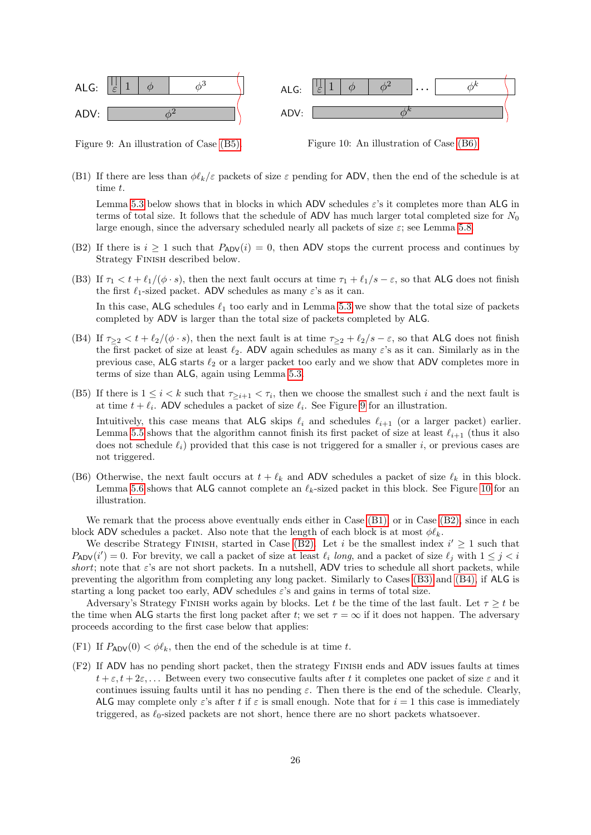

<span id="page-25-2"></span>Figure 9: An illustration of Case [\(B5\).](#page-25-0)

<span id="page-25-3"></span>Figure 10: An illustration of Case [\(B6\).](#page-25-1)

<span id="page-25-4"></span>(B1) If there are less than  $\phi \ell_k/\varepsilon$  packets of size  $\varepsilon$  pending for ADV, then the end of the schedule is at time t.

Lemma [5.3](#page-26-0) below shows that in blocks in which ADV schedules  $\varepsilon$ 's it completes more than ALG in terms of total size. It follows that the schedule of ADV has much larger total completed size for  $N_0$ large enough, since the adversary scheduled nearly all packets of size  $\varepsilon$ ; see Lemma [5.8.](#page-27-0)

- <span id="page-25-5"></span>(B2) If there is  $i \geq 1$  such that  $P_{ADV}(i) = 0$ , then ADV stops the current process and continues by Strategy Finish described below.
- <span id="page-25-6"></span>(B3) If  $\tau_1 < t + \ell_1/(\phi \cdot s)$ , then the next fault occurs at time  $\tau_1 + \ell_1/s - \varepsilon$ , so that ALG does not finish the first  $\ell_1$ -sized packet. ADV schedules as many  $\varepsilon$ 's as it can.

In this case,  $ALG$  schedules  $\ell_1$  too early and in Lemma [5.3](#page-26-0) we show that the total size of packets completed by ADV is larger than the total size of packets completed by ALG.

- <span id="page-25-7"></span>(B4) If  $\tau_{\geq 2} < t + \ell_2/(\phi \cdot s)$ , then the next fault is at time  $\tau_{\geq 2} + \ell_2/s - \varepsilon$ , so that ALG does not finish the first packet of size at least  $\ell_2$ . ADV again schedules as many  $\varepsilon$ 's as it can. Similarly as in the previous case, ALG starts  $\ell_2$  or a larger packet too early and we show that ADV completes more in terms of size than ALG, again using Lemma [5.3.](#page-26-0)
- <span id="page-25-0"></span>(B5) If there is  $1 \leq i < k$  such that  $\tau_{\geq i+1} < \tau_i$ , then we choose the smallest such i and the next fault is at time  $t + \ell_i$ . ADV schedules a packet of size  $\ell_i$ . See Figure [9](#page-25-2) for an illustration. Intuitively, this case means that ALG skips  $\ell_i$  and schedules  $\ell_{i+1}$  (or a larger packet) earlier. Lemma [5.5](#page-26-1) shows that the algorithm cannot finish its first packet of size at least  $\ell_{i+1}$  (thus it also does not schedule  $\ell_i$ ) provided that this case is not triggered for a smaller i, or previous cases are not triggered.
- <span id="page-25-1"></span>(B6) Otherwise, the next fault occurs at  $t + \ell_k$  and ADV schedules a packet of size  $\ell_k$  in this block. Lemma [5.6](#page-27-1) shows that ALG cannot complete an  $\ell_k$ -sized packet in this block. See Figure [10](#page-25-3) for an illustration.

We remark that the process above eventually ends either in Case  $(B1)$ , or in Case  $(B2)$ , since in each block ADV schedules a packet. Also note that the length of each block is at most  $\phi \ell_k$ .

We describe Strategy FINISH, started in Case [\(B2\).](#page-25-5) Let i be the smallest index  $i' \geq 1$  such that  $P_{ADV}(i') = 0$ . For brevity, we call a packet of size at least  $\ell_i$  long, and a packet of size  $\ell_j$  with  $1 \leq j < i$ short; note that  $\varepsilon$ 's are not short packets. In a nutshell, ADV tries to schedule all short packets, while preventing the algorithm from completing any long packet. Similarly to Cases [\(B3\)](#page-25-6) and [\(B4\),](#page-25-7) if ALG is starting a long packet too early, ADV schedules  $\varepsilon$ 's and gains in terms of total size.

Adversary's Strategy FINISH works again by blocks. Let t be the time of the last fault. Let  $\tau \geq t$  be the time when ALG starts the first long packet after t; we set  $\tau = \infty$  if it does not happen. The adversary proceeds according to the first case below that applies:

- <span id="page-25-8"></span>(F1) If  $P_{ADV}(0) < \phi \ell_k$ , then the end of the schedule is at time t.
- <span id="page-25-9"></span>(F2) If ADV has no pending short packet, then the strategy Finish ends and ADV issues faults at times  $t + \varepsilon, t + 2\varepsilon, \ldots$  Between every two consecutive faults after t it completes one packet of size  $\varepsilon$  and it continues issuing faults until it has no pending  $\varepsilon$ . Then there is the end of the schedule. Clearly, ALG may complete only  $\varepsilon$ 's after t if  $\varepsilon$  is small enough. Note that for  $i = 1$  this case is immediately triggered, as  $\ell_0$ -sized packets are not short, hence there are no short packets whatsoever.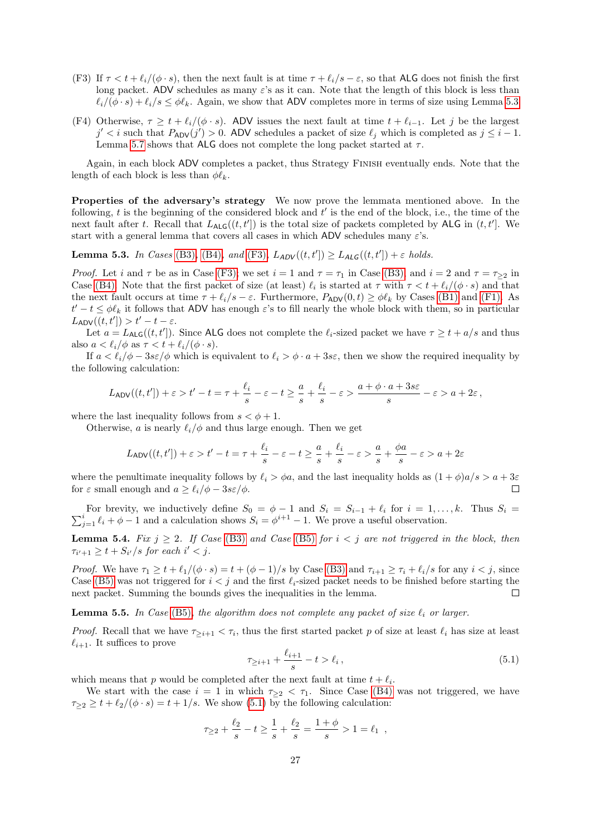- <span id="page-26-2"></span>(F3) If  $\tau < t + \ell_i/(\phi \cdot s)$ , then the next fault is at time  $\tau + \ell_i/s - \varepsilon$ , so that ALG does not finish the first long packet. ADV schedules as many  $\varepsilon$ 's as it can. Note that the length of this block is less than  $\ell_i/(\phi \cdot s) + \ell_i/s \leq \phi \ell_k$ . Again, we show that ADV completes more in terms of size using Lemma [5.3.](#page-26-0)
- <span id="page-26-5"></span>(F4) Otherwise,  $\tau \geq t + \ell_i/(\phi \cdot s)$ . ADV issues the next fault at time  $t + \ell_{i-1}$ . Let j be the largest  $j' < i$  such that  $P_{ADV}(j') > 0$ . ADV schedules a packet of size  $\ell_j$  which is completed as  $j \leq i - 1$ . Lemma [5.7](#page-27-2) shows that ALG does not complete the long packet started at  $\tau$ .

Again, in each block ADV completes a packet, thus Strategy Finish eventually ends. Note that the length of each block is less than  $\phi \ell_k$ .

Properties of the adversary's strategy We now prove the lemmata mentioned above. In the following,  $t$  is the beginning of the considered block and  $t'$  is the end of the block, i.e., the time of the next fault after t. Recall that  $L_{\text{ALG}}((t, t'])$  is the total size of packets completed by ALG in  $(t, t']$ . We start with a general lemma that covers all cases in which ADV schedules many  $\varepsilon$ 's.

<span id="page-26-0"></span>**Lemma 5.3.** In Cases [\(B3\)](#page-25-6), [\(B4\)](#page-25-7), and [\(F3\)](#page-26-2),  $L_{ADV}((t, t']) \ge L_{ALG}((t, t']) + \varepsilon$  holds.

*Proof.* Let i and  $\tau$  be as in Case [\(F3\);](#page-26-2) we set  $i = 1$  and  $\tau = \tau_1$  in Case [\(B3\),](#page-25-6) and  $i = 2$  and  $\tau = \tau_{\geq 2}$  in Case [\(B4\).](#page-25-7) Note that the first packet of size (at least)  $\ell_i$  is started at  $\tau$  with  $\tau < t + \ell_i/(\phi \cdot s)$  and that the next fault occurs at time  $\tau + \ell_i/s - \varepsilon$ . Furthermore,  $P_{ADV}(0, t) \ge \phi \ell_k$  by Cases [\(B1\)](#page-25-4) and [\(F1\).](#page-25-8) As  $t'-t \leq \phi \ell_k$  it follows that ADV has enough  $\varepsilon$ 's to fill nearly the whole block with them, so in particular  $L_{\sf ADV}((t, t']) > t' - t - \varepsilon.$ 

Let  $a = L_{\text{ALG}}((t, t'])$ . Since ALG does not complete the  $\ell_i$ -sized packet we have  $\tau \geq t + a/s$  and thus also  $a < \ell_i/\phi$  as  $\tau < t + \ell_i/(\phi \cdot s)$ .

If  $a < \ell_i/\phi - 3s\epsilon/\phi$  which is equivalent to  $\ell_i > \phi \cdot a + 3s\epsilon$ , then we show the required inequality by the following calculation:

$$
L_{\sf ADV}((t,t'])+\varepsilon > t'-t = \tau + \frac{\ell_i}{s} - \varepsilon - t \geq \frac{a}{s} + \frac{\ell_i}{s} - \varepsilon > \frac{a+\phi\cdot a + 3s\varepsilon}{s} - \varepsilon > a + 2\varepsilon,
$$

where the last inequality follows from  $s < \phi + 1$ .

Otherwise, a is nearly  $\ell_i/\phi$  and thus large enough. Then we get

$$
L_{\sf ADV}((t,t'])+\varepsilon > t'-t = \tau + \frac{\ell_i}{s} - \varepsilon - t \geq \frac{a}{s} + \frac{\ell_i}{s} - \varepsilon > \frac{a}{s} + \frac{\phi a}{s} - \varepsilon > a + 2\varepsilon
$$

where the penultimate inequality follows by  $\ell_i > \phi a$ , and the last inequality holds as  $(1 + \phi)a/s > a + 3\varepsilon$ for  $\varepsilon$  small enough and  $a \geq \ell_i/\phi - 3s \varepsilon/\phi$ .  $\Box$ 

 $\sum$ For brevity, we inductively define  $S_0 = \phi - 1$  and  $S_i = S_{i-1} + \ell_i$  for  $i = 1, ..., k$ . Thus  $S_i = i \ell_i + \phi - 1$  and a calculation shows  $S_i = \phi^{i+1} - 1$ . We prove a useful observation.

<span id="page-26-4"></span>**Lemma 5.4.** Fix  $j \geq 2$ . If Case [\(B3\)](#page-25-6) and Case [\(B5\)](#page-25-0) for  $i < j$  are not triggered in the block, then  $\tau_{i'+1} \geq t + S_{i'}/s$  for each  $i' < j$ .

*Proof.* We have  $\tau_1 \geq t + \ell_1/(\phi \cdot s) = t + (\phi - 1)/s$  by Case [\(B3\)](#page-25-6) and  $\tau_{i+1} \geq \tau_i + \ell_i/s$  for any  $i < j$ , since Case [\(B5\)](#page-25-0) was not triggered for  $i < j$  and the first  $\ell_i$ -sized packet needs to be finished before starting the next packet. Summing the bounds gives the inequalities in the lemma.  $\Box$ 

<span id="page-26-1"></span>**Lemma 5.5.** In Case [\(B5\)](#page-25-0), the algorithm does not complete any packet of size  $\ell_i$  or larger.

*Proof.* Recall that we have  $\tau_{\geq i+1} < \tau_i$ , thus the first started packet p of size at least  $\ell_i$  has size at least  $\ell_{i+1}$ . It suffices to prove

<span id="page-26-3"></span>
$$
\tau_{\geq i+1} + \frac{\ell_{i+1}}{s} - t > \ell_i \,,\tag{5.1}
$$

which means that p would be completed after the next fault at time  $t + \ell_i$ .

We start with the case  $i = 1$  in which  $\tau_{\geq 2} < \tau_1$ . Since Case [\(B4\)](#page-25-7) was not triggered, we have  $\tau_{\geq 2} \geq t + \ell_2/(\phi \cdot s) = t + 1/s$ . We show [\(5.1\)](#page-26-3) by the following calculation:

$$
\tau_{\geq 2} + \frac{\ell_2}{s} - t \geq \frac{1}{s} + \frac{\ell_2}{s} = \frac{1 + \phi}{s} > 1 = \ell_1 ,
$$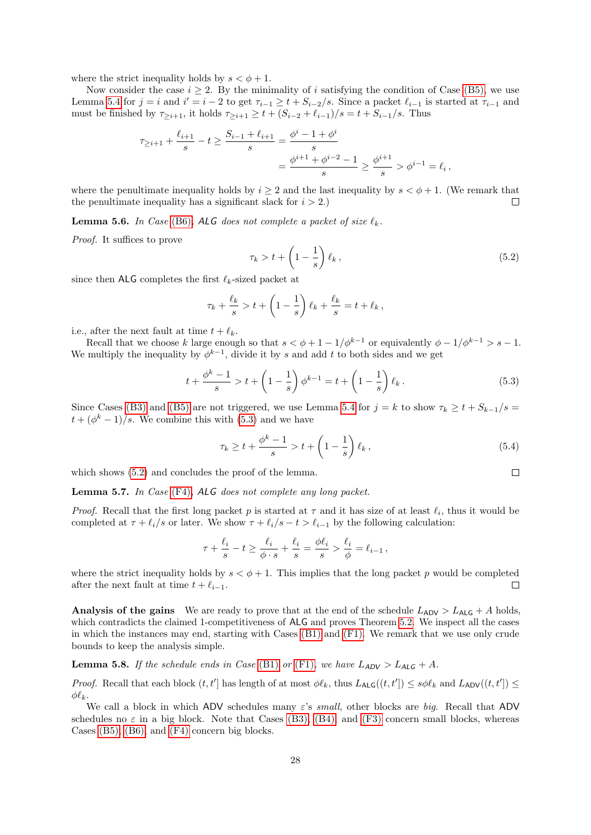where the strict inequality holds by  $s < \phi + 1$ .

Now consider the case  $i \geq 2$ . By the minimality of i satisfying the condition of Case [\(B5\),](#page-25-0) we use Lemma [5.4](#page-26-4) for  $j = i$  and  $i' = i - 2$  to get  $\tau_{i-1} \geq t + S_{i-2}/s$ . Since a packet  $\ell_{i-1}$  is started at  $\tau_{i-1}$  and must be finished by  $\tau_{\geq i+1}$ , it holds  $\tau_{\geq i+1} \geq t + (S_{i-2} + \ell_{i-1})/s = t + S_{i-1}/s$ . Thus

$$
\tau_{\geq i+1} + \frac{\ell_{i+1}}{s} - t \geq \frac{S_{i-1} + \ell_{i+1}}{s} = \frac{\phi^i - 1 + \phi^i}{s}
$$

$$
= \frac{\phi^{i+1} + \phi^{i-2} - 1}{s} \geq \frac{\phi^{i+1}}{s} > \phi^{i-1} = \ell_i,
$$

where the penultimate inequality holds by  $i \geq 2$  and the last inequality by  $s < \phi + 1$ . (We remark that the penultimate inequality has a significant slack for  $i > 2$ .  $\Box$ 

<span id="page-27-1"></span>**Lemma 5.6.** In Case [\(B6\)](#page-25-1), ALG does not complete a packet of size  $\ell_k$ .

Proof. It suffices to prove

<span id="page-27-4"></span>
$$
\tau_k > t + \left(1 - \frac{1}{s}\right) \ell_k \,,\tag{5.2}
$$

since then ALG completes the first  $\ell_k$ -sized packet at

$$
\tau_k + \frac{\ell_k}{s} > t + \left(1 - \frac{1}{s}\right)\ell_k + \frac{\ell_k}{s} = t + \ell_k,
$$

i.e., after the next fault at time  $t + \ell_k$ .

Recall that we choose k large enough so that  $s < \phi + 1 - 1/\phi^{k-1}$  or equivalently  $\phi - 1/\phi^{k-1} > s - 1$ . We multiply the inequality by  $\phi^{k-1}$ , divide it by s and add t to both sides and we get

<span id="page-27-3"></span>
$$
t + \frac{\phi^k - 1}{s} > t + \left(1 - \frac{1}{s}\right)\phi^{k-1} = t + \left(1 - \frac{1}{s}\right)\ell_k. \tag{5.3}
$$

Since Cases [\(B3\)](#page-25-6) and [\(B5\)](#page-25-0) are not triggered, we use Lemma [5.4](#page-26-4) for  $j = k$  to show  $\tau_k \geq t + S_{k-1}/s =$  $t+(\phi^k-1)/s$ . We combine this with [\(5.3\)](#page-27-3) and we have

$$
\tau_k \ge t + \frac{\phi^k - 1}{s} > t + \left(1 - \frac{1}{s}\right)\ell_k \,,\tag{5.4}
$$

 $\Box$ 

which shows  $(5.2)$  and concludes the proof of the lemma.

<span id="page-27-2"></span>Lemma 5.7. In Case [\(F4\)](#page-26-5), ALG does not complete any long packet.

*Proof.* Recall that the first long packet p is started at  $\tau$  and it has size of at least  $\ell_i$ , thus it would be completed at  $\tau + \ell_i/s$  or later. We show  $\tau + \ell_i/s - t > \ell_{i-1}$  by the following calculation:

$$
\tau+\frac{\ell_i}{s}-t\geq \frac{\ell_i}{\phi\cdot s}+\frac{\ell_i}{s}=\frac{\phi\ell_i}{s}>\frac{\ell_i}{\phi}=\ell_{i-1}\,,
$$

where the strict inequality holds by  $s < \phi + 1$ . This implies that the long packet p would be completed after the next fault at time  $t + \ell_{i-1}$ .  $\Box$ 

**Analysis of the gains** We are ready to prove that at the end of the schedule  $L_{ADV} > L_{ALG} + A$  holds, which contradicts the claimed 1-competitiveness of ALG and proves Theorem [5.2.](#page-24-0) We inspect all the cases in which the instances may end, starting with Cases [\(B1\)](#page-25-4) and [\(F1\).](#page-25-8) We remark that we use only crude bounds to keep the analysis simple.

<span id="page-27-0"></span>**Lemma 5.8.** If the schedule ends in Case [\(B1\)](#page-25-4) or [\(F1\)](#page-25-8), we have  $L_{ADV} > L_{ALG} + A$ .

Proof. Recall that each block  $(t, t']$  has length of at most  $\phi \ell_k$ , thus  $L_{\text{ALG}}((t, t']) \leq s \phi \ell_k$  and  $L_{\text{ADV}}((t, t']) \leq$  $\phi \ell_k$ .

We call a block in which ADV schedules many  $\varepsilon$ 's small, other blocks are big. Recall that ADV schedules no  $\varepsilon$  in a big block. Note that Cases [\(B3\),](#page-25-6) [\(B4\),](#page-25-7) and [\(F3\)](#page-26-2) concern small blocks, whereas Cases [\(B5\),](#page-25-0) [\(B6\),](#page-25-1) and [\(F4\)](#page-26-5) concern big blocks.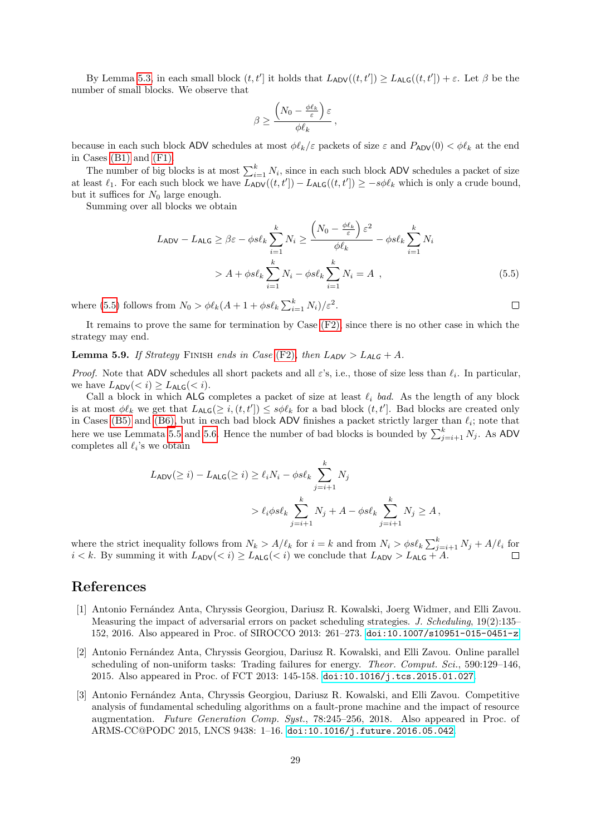By Lemma [5.3,](#page-26-0) in each small block  $(t, t')$  it holds that  $L_{ADV}((t, t']) \geq L_{ALG}((t, t']) + \varepsilon$ . Let  $\beta$  be the number of small blocks. We observe that

$$
\beta \ge \frac{\left(N_0 - \frac{\phi \ell_k}{\varepsilon}\right)\varepsilon}{\phi \ell_k},
$$

because in each such block ADV schedules at most  $\phi \ell_k/\varepsilon$  packets of size  $\varepsilon$  and  $P_{ADV}(0) < \phi \ell_k$  at the end in Cases [\(B1\)](#page-25-4) and [\(F1\).](#page-25-8)

The number of big blocks is at most  $\sum_{i=1}^{k} N_i$ , since in each such block ADV schedules a packet of size at least  $\ell_1$ . For each such block we have  $L_{ADV}((t, t']) - L_{ALG}((t, t']) \ge -s\phi\ell_k$  which is only a crude bound, but it suffices for  $N_0$  large enough.

Summing over all blocks we obtain

$$
L_{\text{ADV}} - L_{\text{ALG}} \ge \beta \varepsilon - \phi s \ell_k \sum_{i=1}^k N_i \ge \frac{\left(N_0 - \frac{\phi \ell_k}{\varepsilon}\right) \varepsilon^2}{\phi \ell_k} - \phi s \ell_k \sum_{i=1}^k N_i
$$
  
> A + \phi s \ell\_k \sum\_{i=1}^k N\_i - \phi s \ell\_k \sum\_{i=1}^k N\_i = A , (5.5)

where [\(5.5\)](#page-28-3) follows from  $N_0 > \phi \ell_k (A + 1 + \phi s \ell_k \sum_{i=1}^k N_i)/\varepsilon^2$ .

It remains to prove the same for termination by Case [\(F2\),](#page-25-9) since there is no other case in which the strategy may end.

**Lemma 5.9.** If Strategy FINISH ends in Case [\(F2\)](#page-25-9), then  $L_{ADV} > L_{ALG} + A$ .

*Proof.* Note that ADV schedules all short packets and all  $\varepsilon$ 's, i.e., those of size less than  $\ell_i$ . In particular, we have  $L_{\text{ADV}}(< i) \geq L_{\text{ALG}}(< i).$ 

Call a block in which ALG completes a packet of size at least  $\ell_i$  bad. As the length of any block is at most  $\phi \ell_k$  we get that  $L_{\text{ALG}}(\geq i, (t, t']) \leq s\phi \ell_k$  for a bad block  $(t, t']$ . Bad blocks are created only in Cases [\(B5\)](#page-25-0) and [\(B6\),](#page-25-1) but in each bad block ADV finishes a packet strictly larger than  $\ell_i$ ; note that here we use Lemmata [5.5](#page-26-1) and [5.6.](#page-27-1) Hence the number of bad blocks is bounded by  $\sum_{j=i+1}^{k} N_j$ . As ADV completes all  $\ell_i$ 's we obtain

$$
L_{\text{ADV}}(\geq i) - L_{\text{ALG}}(\geq i) \geq \ell_i N_i - \phi s \ell_k \sum_{j=i+1}^k N_j
$$
  
>  $\ell_i \phi s \ell_k \sum_{j=i+1}^k N_j + A - \phi s \ell_k \sum_{j=i+1}^k N_j \geq A$ ,

where the strict inequality follows from  $N_k > A/\ell_k$  for  $i = k$  and from  $N_i > \phi s\ell_k \sum_{j=i+1}^k N_j + A/\ell_i$  for  $i < k$ . By summing it with  $L_{ADV}(< i) \ge L_{ALG}(< i)$  we conclude that  $L_{ADV} > L_{ALG} + A$ .

## References

- <span id="page-28-0"></span>[1] Antonio Fernández Anta, Chryssis Georgiou, Dariusz R. Kowalski, Joerg Widmer, and Elli Zavou. Measuring the impact of adversarial errors on packet scheduling strategies. J. Scheduling, 19(2):135– 152, 2016. Also appeared in Proc. of SIROCCO 2013: 261–273. [doi:10.1007/s10951-015-0451-z](http://dx.doi.org/10.1007/s10951-015-0451-z).
- <span id="page-28-2"></span>[2] Antonio Fern´andez Anta, Chryssis Georgiou, Dariusz R. Kowalski, and Elli Zavou. Online parallel scheduling of non-uniform tasks: Trading failures for energy. *Theor. Comput. Sci.*, 590:129–146, 2015. Also appeared in Proc. of FCT 2013: 145-158. [doi:10.1016/j.tcs.2015.01.027](http://dx.doi.org/10.1016/j.tcs.2015.01.027).
- <span id="page-28-1"></span>[3] Antonio Fern´andez Anta, Chryssis Georgiou, Dariusz R. Kowalski, and Elli Zavou. Competitive analysis of fundamental scheduling algorithms on a fault-prone machine and the impact of resource augmentation. Future Generation Comp. Syst., 78:245–256, 2018. Also appeared in Proc. of ARMS-CC@PODC 2015, LNCS 9438: 1–16. [doi:10.1016/j.future.2016.05.042](http://dx.doi.org/10.1016/j.future.2016.05.042).

<span id="page-28-3"></span> $\Box$